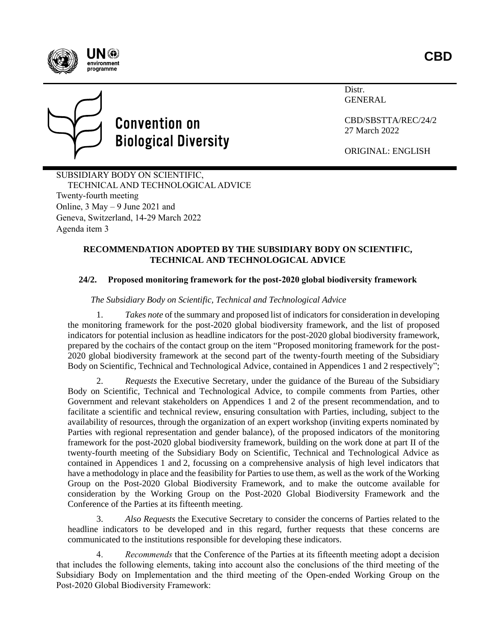



Distr. **GENERAL** 

CBD/SBSTTA/REC/24/2 27 March 2022

ORIGINAL: ENGLISH

SUBSIDIARY BODY ON SCIENTIFIC, TECHNICAL AND TECHNOLOGICAL ADVICE Twenty-fourth meeting Online, 3 May – 9 June 2021 and Geneva, Switzerland, 14-29 March 2022 Agenda item 3

#### **RECOMMENDATION ADOPTED BY THE SUBSIDIARY BODY ON SCIENTIFIC, TECHNICAL AND TECHNOLOGICAL ADVICE**

# **24/2. Proposed monitoring framework for the post-2020 global biodiversity framework**

#### *The Subsidiary Body on Scientific, Technical and Technological Advice*

1. *Takes note* of the summary and proposed list of indicators for consideration in developing the monitoring framework for the post-2020 global biodiversity framework, and the list of proposed indicators for potential inclusion as headline indicators for the post-2020 global biodiversity framework, prepared by the cochairs of the contact group on the item "Proposed monitoring framework for the post-2020 global biodiversity framework at the second part of the twenty-fourth meeting of the Subsidiary Body on Scientific, Technical and Technological Advice, contained in Appendices 1 and 2 respectively";

2. *Requests* the Executive Secretary, under the guidance of the Bureau of the Subsidiary Body on Scientific, Technical and Technological Advice, to compile comments from Parties, other Government and relevant stakeholders on Appendices 1 and 2 of the present recommendation, and to facilitate a scientific and technical review, ensuring consultation with Parties, including, subject to the availability of resources, through the organization of an expert workshop (inviting experts nominated by Parties with regional representation and gender balance), of the proposed indicators of the monitoring framework for the post-2020 global biodiversity framework, building on the work done at part II of the twenty-fourth meeting of the Subsidiary Body on Scientific, Technical and Technological Advice as contained in Appendices 1 and 2, focussing on a comprehensive analysis of high level indicators that have a methodology in place and the feasibility for Parties to use them, as well as the work of the Working Group on the Post-2020 Global Biodiversity Framework, and to make the outcome available for consideration by the Working Group on the Post-2020 Global Biodiversity Framework and the Conference of the Parties at its fifteenth meeting.

3. *Also Requests* the Executive Secretary to consider the concerns of Parties related to the headline indicators to be developed and in this regard, further requests that these concerns are communicated to the institutions responsible for developing these indicators.

4. *Recommends* that the Conference of the Parties at its fifteenth meeting adopt a decision that includes the following elements, taking into account also the conclusions of the third meeting of the Subsidiary Body on Implementation and the third meeting of the Open-ended Working Group on the Post-2020 Global Biodiversity Framework: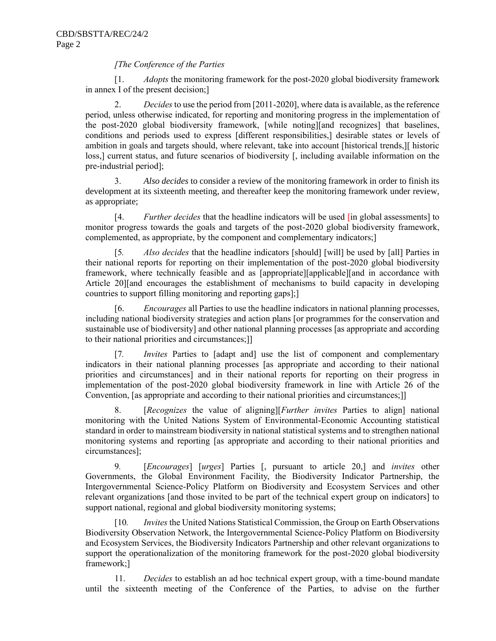#### *[The Conference of the Parties*

[1. *Adopts* the monitoring framework for the post-2020 global biodiversity framework in annex I of the present decision;]

2. *Decides* to use the period from [2011-2020], where data is available, as the reference period, unless otherwise indicated, for reporting and monitoring progress in the implementation of the post-2020 global biodiversity framework, [while noting][and recognizes] that baselines, conditions and periods used to express [different responsibilities,] desirable states or levels of ambition in goals and targets should, where relevant, take into account [historical trends,][ historic loss,] current status, and future scenarios of biodiversity [, including available information on the pre-industrial period];

3. *Also decides* to consider a review of the monitoring framework in order to finish its development at its sixteenth meeting, and thereafter keep the monitoring framework under review, as appropriate;

[4. *Further decides* that the headline indicators will be used [in global assessments] to monitor progress towards the goals and targets of the post-2020 global biodiversity framework, complemented, as appropriate, by the component and complementary indicators;]

[5*. Also decides* that the headline indicators [should] [will] be used by [all] Parties in their national reports for reporting on their implementation of the post-2020 global biodiversity framework, where technically feasible and as [appropriate][applicable][and in accordance with Article 20][and encourages the establishment of mechanisms to build capacity in developing countries to support filling monitoring and reporting gaps];]

[6. *Encourages* all Parties to use the headline indicators in national planning processes, including national biodiversity strategies and action plans [or programmes for the conservation and sustainable use of biodiversity] and other national planning processes [as appropriate and according to their national priorities and circumstances;]]

[7*. Invites* Parties to [adapt and] use the list of component and complementary indicators in their national planning processes [as appropriate and according to their national priorities and circumstances] and in their national reports for reporting on their progress in implementation of the post-2020 global biodiversity framework in line with Article 26 of the Convention, [as appropriate and according to their national priorities and circumstances;]]

8. [*Recognizes* the value of aligning][*Further invites* Parties to align] national monitoring with the United Nations System of Environmental-Economic Accounting statistical standard in order to mainstream biodiversity in national statistical systems and to strengthen national monitoring systems and reporting [as appropriate and according to their national priorities and circumstances];

9*.* [*Encourages*] [*urges*] Parties [, pursuant to article 20,] and *invites* other Governments, the Global Environment Facility, the Biodiversity Indicator Partnership, the Intergovernmental Science-Policy Platform on Biodiversity and Ecosystem Services and other relevant organizations [and those invited to be part of the technical expert group on indicators] to support national, regional and global biodiversity monitoring systems;

[10*. Invites* the United Nations Statistical Commission, the Group on Earth Observations Biodiversity Observation Network, the Intergovernmental Science-Policy Platform on Biodiversity and Ecosystem Services, the Biodiversity Indicators Partnership and other relevant organizations to support the operationalization of the monitoring framework for the post-2020 global biodiversity framework;]

11. *Decides* to establish an ad hoc technical expert group, with a time-bound mandate until the sixteenth meeting of the Conference of the Parties, to advise on the further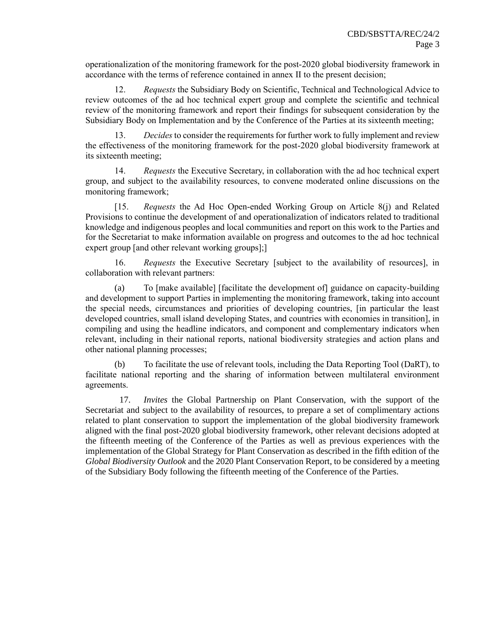operationalization of the monitoring framework for the post-2020 global biodiversity framework in accordance with the terms of reference contained in annex II to the present decision;

12. *Requests* the Subsidiary Body on Scientific, Technical and Technological Advice to review outcomes of the ad hoc technical expert group and complete the scientific and technical review of the monitoring framework and report their findings for subsequent consideration by the Subsidiary Body on Implementation and by the Conference of the Parties at its sixteenth meeting;

13. *Decides*to consider the requirements for further work to fully implement and review the effectiveness of the monitoring framework for the post-2020 global biodiversity framework at its sixteenth meeting;

14. *Requests* the Executive Secretary, in collaboration with the ad hoc technical expert group, and subject to the availability resources, to convene moderated online discussions on the monitoring framework;

[15. *Requests* the Ad Hoc Open-ended Working Group on Article 8(j) and Related Provisions to continue the development of and operationalization of indicators related to traditional knowledge and indigenous peoples and local communities and report on this work to the Parties and for the Secretariat to make information available on progress and outcomes to the ad hoc technical expert group [and other relevant working groups];]

16. *Requests* the Executive Secretary [subject to the availability of resources], in collaboration with relevant partners:

(a) To [make available] [facilitate the development of] guidance on capacity-building and development to support Parties in implementing the monitoring framework, taking into account the special needs, circumstances and priorities of developing countries, [in particular the least developed countries, small island developing States, and countries with economies in transition], in compiling and using the headline indicators, and component and complementary indicators when relevant, including in their national reports, national biodiversity strategies and action plans and other national planning processes;

(b) To facilitate the use of relevant tools, including the Data Reporting Tool (DaRT), to facilitate national reporting and the sharing of information between multilateral environment agreements.

17. *Invites* the Global Partnership on Plant Conservation, with the support of the Secretariat and subject to the availability of resources, to prepare a set of complimentary actions related to plant conservation to support the implementation of the global biodiversity framework aligned with the final post-2020 global biodiversity framework, other relevant decisions adopted at the fifteenth meeting of the Conference of the Parties as well as previous experiences with the implementation of the Global Strategy for Plant Conservation as described in the fifth edition of the *Global Biodiversity Outlook* and the 2020 Plant Conservation Report, to be considered by a meeting of the Subsidiary Body following the fifteenth meeting of the Conference of the Parties.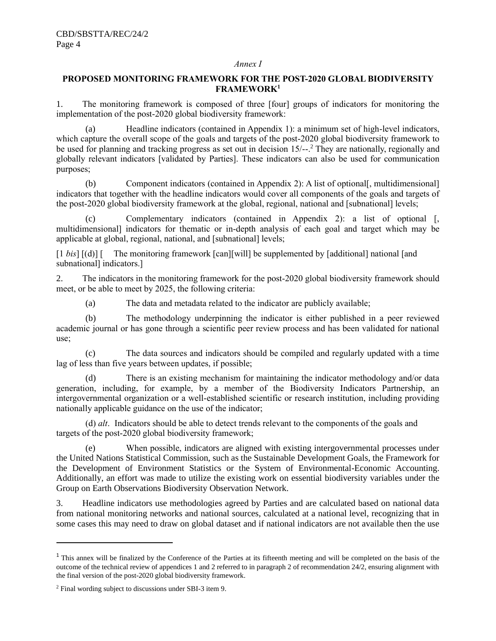#### *Annex I*

#### **PROPOSED MONITORING FRAMEWORK FOR THE POST-2020 GLOBAL BIODIVERSITY FRAMEWORK<sup>1</sup>**

1. The monitoring framework is composed of three [four] groups of indicators for monitoring the implementation of the post-2020 global biodiversity framework:

(a) Headline indicators (contained in Appendix 1): a minimum set of high-level indicators, which capture the overall scope of the goals and targets of the post-2020 global biodiversity framework to be used for planning and tracking progress as set out in decision 15/--.<sup>2</sup> They are nationally, regionally and globally relevant indicators [validated by Parties]. These indicators can also be used for communication purposes;

(b) Component indicators (contained in Appendix 2): A list of optional[, multidimensional] indicators that together with the headline indicators would cover all components of the goals and targets of the post-2020 global biodiversity framework at the global, regional, national and [subnational] levels;

(c) Complementary indicators (contained in Appendix 2): a list of optional [, multidimensional] indicators for thematic or in-depth analysis of each goal and target which may be applicable at global, regional, national, and [subnational] levels;

[1 *bis*] [(d)] [ The monitoring framework [can][will] be supplemented by [additional] national [and subnational] indicators.]

2. The indicators in the monitoring framework for the post-2020 global biodiversity framework should meet, or be able to meet by 2025, the following criteria:

(a) The data and metadata related to the indicator are publicly available;

(b) The methodology underpinning the indicator is either published in a peer reviewed academic journal or has gone through a scientific peer review process and has been validated for national use;

(c) The data sources and indicators should be compiled and regularly updated with a time lag of less than five years between updates, if possible;

(d) There is an existing mechanism for maintaining the indicator methodology and/or data generation, including, for example, by a member of the Biodiversity Indicators Partnership, an intergovernmental organization or a well-established scientific or research institution, including providing nationally applicable guidance on the use of the indicator;

(d) *alt*. Indicators should be able to detect trends relevant to the components of the goals and targets of the post-2020 global biodiversity framework;

(e) When possible, indicators are aligned with existing intergovernmental processes under the United Nations Statistical Commission, such as the Sustainable Development Goals, the Framework for the Development of Environment Statistics or the System of Environmental-Economic Accounting. Additionally, an effort was made to utilize the existing work on essential biodiversity variables under the Group on Earth Observations Biodiversity Observation Network.

3. Headline indicators use methodologies agreed by Parties and are calculated based on national data from national monitoring networks and national sources, calculated at a national level, recognizing that in some cases this may need to draw on global dataset and if national indicators are not available then the use

 $1$  This annex will be finalized by the Conference of the Parties at its fifteenth meeting and will be completed on the basis of the outcome of the technical review of appendices 1 and 2 referred to in paragraph 2 of recommendation 24/2, ensuring alignment with the final version of the post-2020 global biodiversity framework.

<sup>2</sup> Final wording subject to discussions under SBI-3 item 9.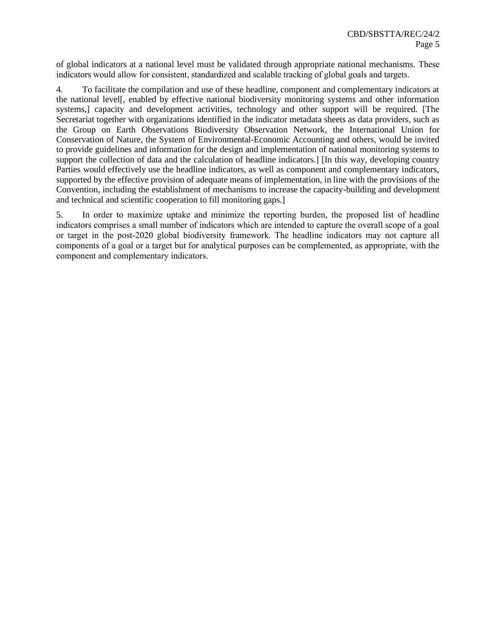of global indicators at a national level must be validated through appropriate national mechanisms. These indicators would allow for consistent, standardized and scalable tracking of global goals and targets.

4. To facilitate the compilation and use of these headline, component and complementary indicators at the national level[, enabled by effective national biodiversity monitoring systems and other information systems,] capacity and development activities, technology and other support will be required. [The Secretariat together with organizations identified in the indicator metadata sheets as data providers, such as the Group on Earth Observations Biodiversity Observation Network, the International Union for Conservation of Nature, the System of Environmental-Economic Accounting and others, would be invited to provide guidelines and information for the design and implementation of national monitoring systems to support the collection of data and the calculation of headline indicators.] [In this way, developing country Parties would effectively use the headline indicators, as well as component and complementary indicators, supported by the effective provision of adequate means of implementation, in line with the provisions of the Convention, including the establishment of mechanisms to increase the capacity-building and development and technical and scientific cooperation to fill monitoring gaps.]

5. In order to maximize uptake and minimize the reporting burden, the proposed list of headline indicators comprises a small number of indicators which are intended to capture the overall scope of a goal or target in the post-2020 global biodiversity framework. The headline indicators may not capture all components of a goal or a target but for analytical purposes can be complemented, as appropriate, with the component and complementary indicators.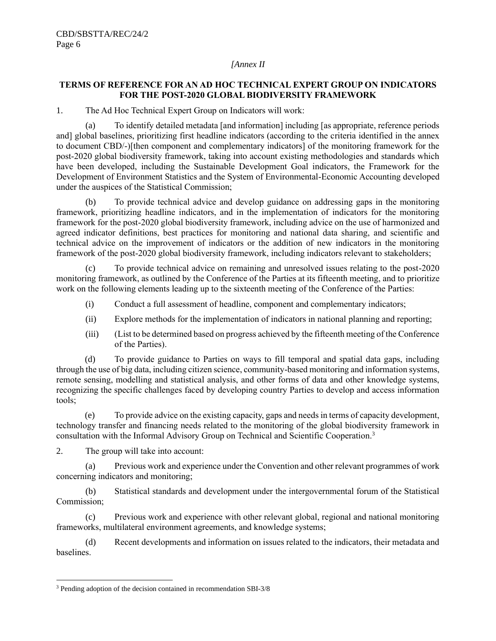#### *[Annex II*

#### **TERMS OF REFERENCE FOR AN AD HOC TECHNICAL EXPERT GROUP ON INDICATORS FOR THE POST-2020 GLOBAL BIODIVERSITY FRAMEWORK**

1. The Ad Hoc Technical Expert Group on Indicators will work:

(a) To identify detailed metadata [and information] including [as appropriate, reference periods and] global baselines, prioritizing first headline indicators (according to the criteria identified in the annex to document CBD/-)[then component and complementary indicators] of the monitoring framework for the post-2020 global biodiversity framework, taking into account existing methodologies and standards which have been developed, including the Sustainable Development Goal indicators, the Framework for the Development of Environment Statistics and the System of Environmental-Economic Accounting developed under the auspices of the Statistical Commission;

(b) To provide technical advice and develop guidance on addressing gaps in the monitoring framework, prioritizing headline indicators, and in the implementation of indicators for the monitoring framework for the post-2020 global biodiversity framework, including advice on the use of harmonized and agreed indicator definitions, best practices for monitoring and national data sharing, and scientific and technical advice on the improvement of indicators or the addition of new indicators in the monitoring framework of the post-2020 global biodiversity framework, including indicators relevant to stakeholders;

(c) To provide technical advice on remaining and unresolved issues relating to the post-2020 monitoring framework, as outlined by the Conference of the Parties at its fifteenth meeting, and to prioritize work on the following elements leading up to the sixteenth meeting of the Conference of the Parties:

- (i) Conduct a full assessment of headline, component and complementary indicators;
- (ii) Explore methods for the implementation of indicators in national planning and reporting;
- (iii) (List to be determined based on progress achieved by the fifteenth meeting of the Conference of the Parties).

(d) To provide guidance to Parties on ways to fill temporal and spatial data gaps, including through the use of big data, including citizen science, community-based monitoring and information systems, remote sensing, modelling and statistical analysis, and other forms of data and other knowledge systems, recognizing the specific challenges faced by developing country Parties to develop and access information tools;

(e) To provide advice on the existing capacity, gaps and needs in terms of capacity development, technology transfer and financing needs related to the monitoring of the global biodiversity framework in consultation with the Informal Advisory Group on Technical and Scientific Cooperation.<sup>3</sup>

2. The group will take into account:

(a) Previous work and experience under the Convention and other relevant programmes of work concerning indicators and monitoring;

(b) Statistical standards and development under the intergovernmental forum of the Statistical Commission;

(c) Previous work and experience with other relevant global, regional and national monitoring frameworks, multilateral environment agreements, and knowledge systems;

(d) Recent developments and information on issues related to the indicators, their metadata and baselines.

<sup>3</sup> Pending adoption of the decision contained in recommendation SBI-3/8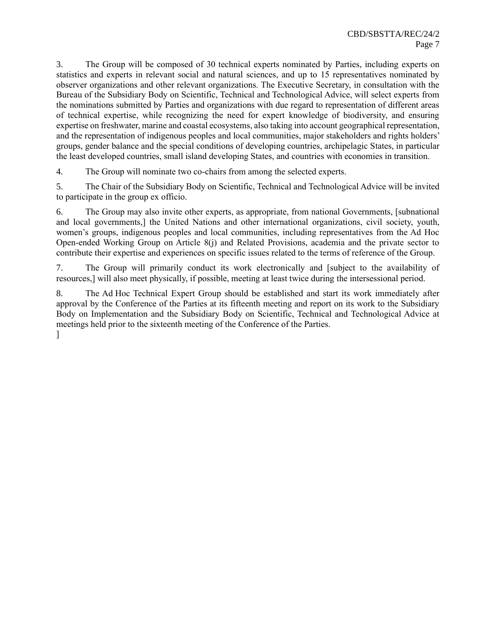3. The Group will be composed of 30 technical experts nominated by Parties, including experts on statistics and experts in relevant social and natural sciences, and up to 15 representatives nominated by observer organizations and other relevant organizations. The Executive Secretary, in consultation with the Bureau of the Subsidiary Body on Scientific, Technical and Technological Advice, will select experts from the nominations submitted by Parties and organizations with due regard to representation of different areas of technical expertise, while recognizing the need for expert knowledge of biodiversity, and ensuring expertise on freshwater, marine and coastal ecosystems, also taking into account geographical representation, and the representation of indigenous peoples and local communities, major stakeholders and rights holders' groups, gender balance and the special conditions of developing countries, archipelagic States, in particular the least developed countries, small island developing States, and countries with economies in transition.

4. The Group will nominate two co-chairs from among the selected experts.

5. The Chair of the Subsidiary Body on Scientific, Technical and Technological Advice will be invited to participate in the group ex officio.

6. The Group may also invite other experts, as appropriate, from national Governments, [subnational and local governments,] the United Nations and other international organizations, civil society, youth, women's groups, indigenous peoples and local communities, including representatives from the Ad Hoc Open-ended Working Group on Article 8(j) and Related Provisions, academia and the private sector to contribute their expertise and experiences on specific issues related to the terms of reference of the Group.

7. The Group will primarily conduct its work electronically and [subject to the availability of resources,] will also meet physically, if possible, meeting at least twice during the intersessional period.

8. The Ad Hoc Technical Expert Group should be established and start its work immediately after approval by the Conference of the Parties at its fifteenth meeting and report on its work to the Subsidiary Body on Implementation and the Subsidiary Body on Scientific, Technical and Technological Advice at meetings held prior to the sixteenth meeting of the Conference of the Parties. ]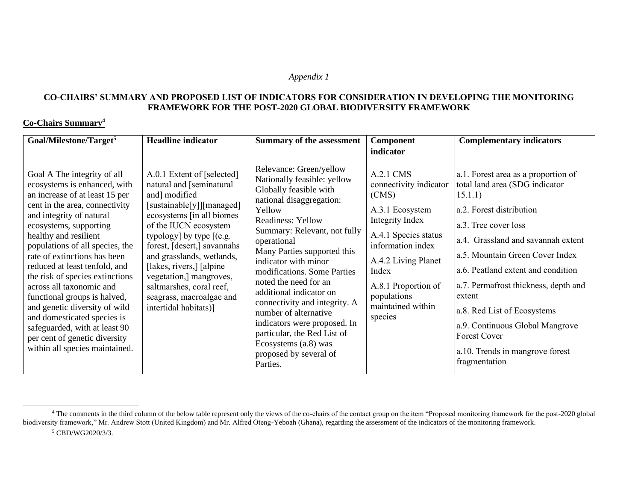#### *Appendix 1*

#### **CO-CHAIRS' SUMMARY AND PROPOSED LIST OF INDICATORS FOR CONSIDERATION IN DEVELOPING THE MONITORING FRAMEWORK FOR THE POST-2020 GLOBAL BIODIVERSITY FRAMEWORK**

#### **Co-Chairs Summary<sup>4</sup>**

| Goal/Milestone/Target <sup>5</sup>                                                                                                                                                                                                                                                                                                                                                                                                                                                                                                                                                    | <b>Headline indicator</b>                                                                                                                                                                                                                                                                                                                                                                      | Summary of the assessment                                                                                                                                                                                                                                                                                                                                                                                                                                                                                                   | Component<br>indicator                                                                                                                                                                                                                | <b>Complementary indicators</b>                                                                                                                                                                                                                                                                                                                                                                                                                    |
|---------------------------------------------------------------------------------------------------------------------------------------------------------------------------------------------------------------------------------------------------------------------------------------------------------------------------------------------------------------------------------------------------------------------------------------------------------------------------------------------------------------------------------------------------------------------------------------|------------------------------------------------------------------------------------------------------------------------------------------------------------------------------------------------------------------------------------------------------------------------------------------------------------------------------------------------------------------------------------------------|-----------------------------------------------------------------------------------------------------------------------------------------------------------------------------------------------------------------------------------------------------------------------------------------------------------------------------------------------------------------------------------------------------------------------------------------------------------------------------------------------------------------------------|---------------------------------------------------------------------------------------------------------------------------------------------------------------------------------------------------------------------------------------|----------------------------------------------------------------------------------------------------------------------------------------------------------------------------------------------------------------------------------------------------------------------------------------------------------------------------------------------------------------------------------------------------------------------------------------------------|
| Goal A The integrity of all<br>ecosystems is enhanced, with<br>an increase of at least 15 per<br>cent in the area, connectivity<br>and integrity of natural<br>ecosystems, supporting<br>healthy and resilient<br>populations of all species, the<br>rate of extinctions has been<br>reduced at least tenfold, and<br>the risk of species extinctions<br>across all taxonomic and<br>functional groups is halved,<br>and genetic diversity of wild<br>and domesticated species is<br>safeguarded, with at least 90<br>per cent of genetic diversity<br>within all species maintained. | A.0.1 Extent of [selected]<br>natural and [seminatural<br>and] modified<br>[sustainable[y]][managed]<br>ecosystems [in all biomes]<br>of the IUCN ecosystem<br>typology] by type $[(e.g.$<br>forest, [desert,] savannahs<br>and grasslands, wetlands,<br>[lakes, rivers,] [alpine]<br>vegetation,] mangroves,<br>saltmarshes, coral reef,<br>seagrass, macroalgae and<br>intertidal habitats)] | Relevance: Green/yellow<br>Nationally feasible: yellow<br>Globally feasible with<br>national disaggregation:<br>Yellow<br>Readiness: Yellow<br>Summary: Relevant, not fully<br>operational<br>Many Parties supported this<br>indicator with minor<br>modifications. Some Parties<br>noted the need for an<br>additional indicator on<br>connectivity and integrity. A<br>number of alternative<br>indicators were proposed. In<br>particular, the Red List of<br>Ecosystems (a.8) was<br>proposed by several of<br>Parties. | A.2.1 CMS<br>connectivity indicator<br>(CMS)<br>A.3.1 Ecosystem<br>Integrity Index<br>A.4.1 Species status<br>information index<br>A.4.2 Living Planet<br>Index<br>A.8.1 Proportion of<br>populations<br>maintained within<br>species | a.1. Forest area as a proportion of<br>total land area (SDG indicator<br>15.1.1)<br>a.2. Forest distribution<br>a.3. Tree cover loss<br>a.4. Grassland and savannah extent<br>a.5. Mountain Green Cover Index<br>a.6. Peatland extent and condition<br>a.7. Permafrost thickness, depth and<br>extent<br>a.8. Red List of Ecosystems<br>a.9. Continuous Global Mangrove<br><b>Forest Cover</b><br>a.10. Trends in mangrove forest<br>fragmentation |

<sup>&</sup>lt;sup>4</sup> The comments in the third column of the below table represent only the views of the co-chairs of the contact group on the item "Proposed monitoring framework for the post-2020 global biodiversity framework," Mr. Andrew Stott (United Kingdom) and Mr. Alfred Oteng-Yeboah (Ghana), regarding the assessment of the indicators of the monitoring framework. <sup>5</sup> CBD/WG2020/3/3.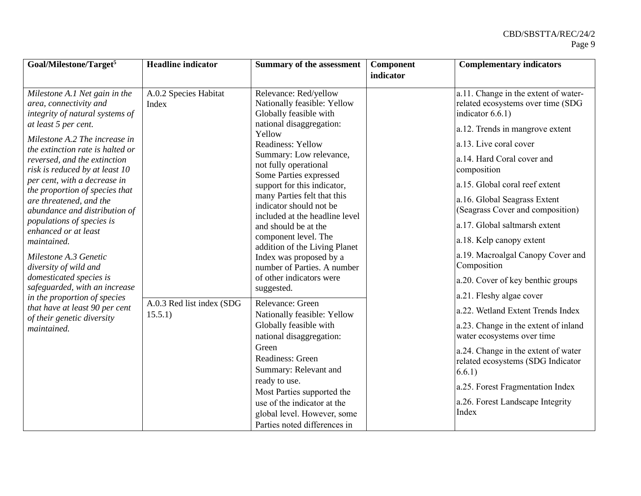| Goal/Milestone/Target <sup>5</sup>                                                                                                                                                                                                                                                                                                                                                                                                                                                                                                                                                                                                                                                       | <b>Headline indicator</b>                                              | <b>Summary of the assessment</b>                                                                                                                                                                                                                                                                                                                                                                                                                                                                                                                                                                                                                                                                                                                                                            | Component | <b>Complementary indicators</b>                                                                                                                                                                                                                                                                                                                                                                                                                                                                                                                                                                                                                                                                                                                                             |
|------------------------------------------------------------------------------------------------------------------------------------------------------------------------------------------------------------------------------------------------------------------------------------------------------------------------------------------------------------------------------------------------------------------------------------------------------------------------------------------------------------------------------------------------------------------------------------------------------------------------------------------------------------------------------------------|------------------------------------------------------------------------|---------------------------------------------------------------------------------------------------------------------------------------------------------------------------------------------------------------------------------------------------------------------------------------------------------------------------------------------------------------------------------------------------------------------------------------------------------------------------------------------------------------------------------------------------------------------------------------------------------------------------------------------------------------------------------------------------------------------------------------------------------------------------------------------|-----------|-----------------------------------------------------------------------------------------------------------------------------------------------------------------------------------------------------------------------------------------------------------------------------------------------------------------------------------------------------------------------------------------------------------------------------------------------------------------------------------------------------------------------------------------------------------------------------------------------------------------------------------------------------------------------------------------------------------------------------------------------------------------------------|
|                                                                                                                                                                                                                                                                                                                                                                                                                                                                                                                                                                                                                                                                                          |                                                                        |                                                                                                                                                                                                                                                                                                                                                                                                                                                                                                                                                                                                                                                                                                                                                                                             | indicator |                                                                                                                                                                                                                                                                                                                                                                                                                                                                                                                                                                                                                                                                                                                                                                             |
| Milestone A.1 Net gain in the<br>area, connectivity and<br>integrity of natural systems of<br>at least 5 per cent.<br>Milestone A.2 The increase in<br>the extinction rate is halted or<br>reversed, and the extinction<br>risk is reduced by at least 10<br>per cent, with a decrease in<br>the proportion of species that<br>are threatened, and the<br>abundance and distribution of<br>populations of species is<br>enhanced or at least<br>maintained.<br>Milestone A.3 Genetic<br>diversity of wild and<br>domesticated species is<br>safeguarded, with an increase<br>in the proportion of species<br>that have at least 90 per cent<br>of their genetic diversity<br>maintained. | A.0.2 Species Habitat<br>Index<br>A.0.3 Red list index (SDG<br>15.5.1) | Relevance: Red/yellow<br>Nationally feasible: Yellow<br>Globally feasible with<br>national disaggregation:<br>Yellow<br><b>Readiness: Yellow</b><br>Summary: Low relevance,<br>not fully operational<br>Some Parties expressed<br>support for this indicator,<br>many Parties felt that this<br>indicator should not be<br>included at the headline level<br>and should be at the<br>component level. The<br>addition of the Living Planet<br>Index was proposed by a<br>number of Parties. A number<br>of other indicators were<br>suggested.<br>Relevance: Green<br>Nationally feasible: Yellow<br>Globally feasible with<br>national disaggregation:<br>Green<br>Readiness: Green<br>Summary: Relevant and<br>ready to use.<br>Most Parties supported the<br>use of the indicator at the |           | a.11. Change in the extent of water-<br>related ecosystems over time (SDG<br>indicator $6.6.1$ )<br>a.12. Trends in mangrove extent<br>a.13. Live coral cover<br>a.14. Hard Coral cover and<br>composition<br>a.15. Global coral reef extent<br>a.16. Global Seagrass Extent<br>(Seagrass Cover and composition)<br>a.17. Global saltmarsh extent<br>a.18. Kelp canopy extent<br>a.19. Macroalgal Canopy Cover and<br>Composition<br>a.20. Cover of key benthic groups<br>a.21. Fleshy algae cover<br>a.22. Wetland Extent Trends Index<br>a.23. Change in the extent of inland<br>water ecosystems over time<br>a.24. Change in the extent of water<br>related ecosystems (SDG Indicator<br>6.6.1)<br>a.25. Forest Fragmentation Index<br>a.26. Forest Landscape Integrity |
|                                                                                                                                                                                                                                                                                                                                                                                                                                                                                                                                                                                                                                                                                          |                                                                        | global level. However, some<br>Parties noted differences in                                                                                                                                                                                                                                                                                                                                                                                                                                                                                                                                                                                                                                                                                                                                 |           | Index                                                                                                                                                                                                                                                                                                                                                                                                                                                                                                                                                                                                                                                                                                                                                                       |
|                                                                                                                                                                                                                                                                                                                                                                                                                                                                                                                                                                                                                                                                                          |                                                                        |                                                                                                                                                                                                                                                                                                                                                                                                                                                                                                                                                                                                                                                                                                                                                                                             |           |                                                                                                                                                                                                                                                                                                                                                                                                                                                                                                                                                                                                                                                                                                                                                                             |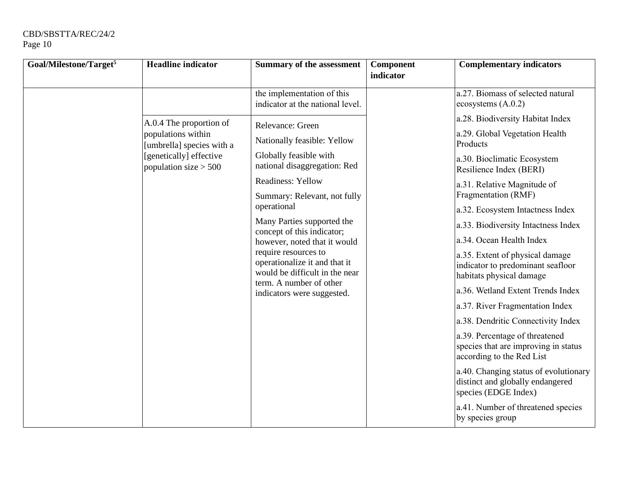| Goal/Milestone/Target <sup>5</sup> | <b>Headline indicator</b>                                                                             | <b>Summary of the assessment</b>                                                                                        | Component<br>indicator | <b>Complementary indicators</b>                                                                     |
|------------------------------------|-------------------------------------------------------------------------------------------------------|-------------------------------------------------------------------------------------------------------------------------|------------------------|-----------------------------------------------------------------------------------------------------|
|                                    |                                                                                                       | the implementation of this<br>indicator at the national level.                                                          |                        | a.27. Biomass of selected natural<br>ecosystems (A.0.2)                                             |
|                                    | A.0.4 The proportion of                                                                               | Relevance: Green                                                                                                        |                        | a.28. Biodiversity Habitat Index                                                                    |
|                                    | populations within<br>[umbrella] species with a<br>[genetically] effective<br>population size $> 500$ | Nationally feasible: Yellow                                                                                             |                        | a.29. Global Vegetation Health<br>Products                                                          |
|                                    |                                                                                                       | Globally feasible with<br>national disaggregation: Red                                                                  |                        | a.30. Bioclimatic Ecosystem<br>Resilience Index (BERI)                                              |
|                                    |                                                                                                       | <b>Readiness: Yellow</b>                                                                                                |                        | a.31. Relative Magnitude of                                                                         |
|                                    |                                                                                                       | Summary: Relevant, not fully                                                                                            |                        | Fragmentation (RMF)                                                                                 |
|                                    |                                                                                                       | operational                                                                                                             |                        | a.32. Ecosystem Intactness Index                                                                    |
|                                    |                                                                                                       | Many Parties supported the<br>concept of this indicator;                                                                |                        | a.33. Biodiversity Intactness Index                                                                 |
|                                    |                                                                                                       | however, noted that it would<br>require resources to<br>operationalize it and that it<br>would be difficult in the near |                        | a.34. Ocean Health Index                                                                            |
|                                    |                                                                                                       |                                                                                                                         |                        | a.35. Extent of physical damage<br>indicator to predominant seafloor<br>habitats physical damage    |
|                                    |                                                                                                       | term. A number of other<br>indicators were suggested.                                                                   |                        | a.36. Wetland Extent Trends Index                                                                   |
|                                    |                                                                                                       |                                                                                                                         |                        | a.37. River Fragmentation Index                                                                     |
|                                    |                                                                                                       |                                                                                                                         |                        | a.38. Dendritic Connectivity Index                                                                  |
|                                    |                                                                                                       |                                                                                                                         |                        | a.39. Percentage of threatened<br>species that are improving in status<br>according to the Red List |
|                                    |                                                                                                       |                                                                                                                         |                        | a.40. Changing status of evolutionary<br>distinct and globally endangered<br>species (EDGE Index)   |
|                                    |                                                                                                       |                                                                                                                         |                        | a.41. Number of threatened species<br>by species group                                              |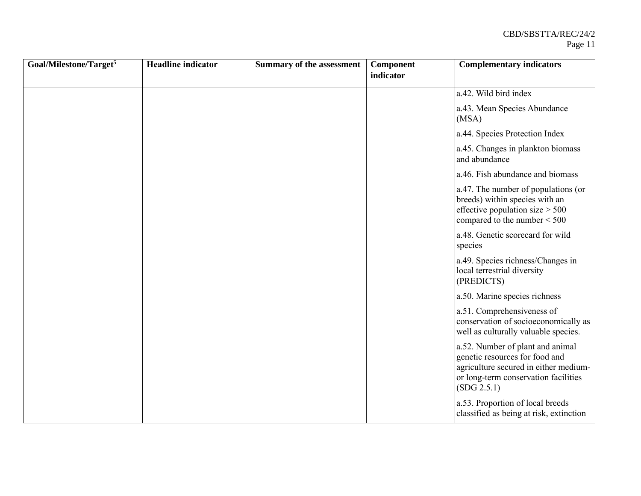| Goal/Milestone/Target <sup>5</sup> | <b>Headline</b> indicator | <b>Summary of the assessment</b> | Component | <b>Complementary indicators</b>                                                                                                                                    |
|------------------------------------|---------------------------|----------------------------------|-----------|--------------------------------------------------------------------------------------------------------------------------------------------------------------------|
|                                    |                           |                                  | indicator |                                                                                                                                                                    |
|                                    |                           |                                  |           | a.42. Wild bird index                                                                                                                                              |
|                                    |                           |                                  |           | a.43. Mean Species Abundance<br>(MSA)                                                                                                                              |
|                                    |                           |                                  |           | a.44. Species Protection Index                                                                                                                                     |
|                                    |                           |                                  |           | a.45. Changes in plankton biomass<br>and abundance                                                                                                                 |
|                                    |                           |                                  |           | a.46. Fish abundance and biomass                                                                                                                                   |
|                                    |                           |                                  |           | a.47. The number of populations (or<br>breeds) within species with an<br>effective population size $> 500$<br>compared to the number $<$ 500                       |
|                                    |                           |                                  |           | a.48. Genetic scorecard for wild<br>species                                                                                                                        |
|                                    |                           |                                  |           | a.49. Species richness/Changes in<br>local terrestrial diversity<br>(PREDICTS)                                                                                     |
|                                    |                           |                                  |           | a.50. Marine species richness                                                                                                                                      |
|                                    |                           |                                  |           | a.51. Comprehensiveness of<br>conservation of socioeconomically as<br>well as culturally valuable species.                                                         |
|                                    |                           |                                  |           | a.52. Number of plant and animal<br>genetic resources for food and<br>agriculture secured in either medium-<br>or long-term conservation facilities<br>(SDG 2.5.1) |
|                                    |                           |                                  |           | a.53. Proportion of local breeds<br>classified as being at risk, extinction                                                                                        |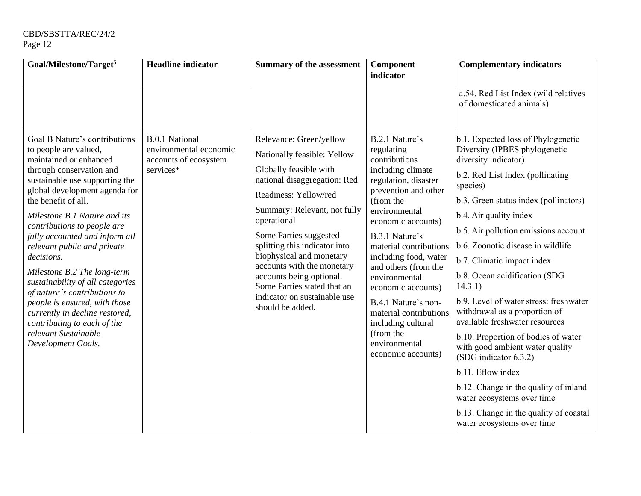| Goal/Milestone/Target <sup>5</sup>                                                                                                                                                                                                                                                                                                                                                                                                                                                                                                                                                                      | <b>Headline</b> indicator                                                             | <b>Summary of the assessment</b>                                                                                                                                                                                                                                                                                                                                                                                             | Component<br>indicator                                                                                                                                                                                                                                                                                                                                                                                                                | <b>Complementary indicators</b>                                                                                                                                                                                                                                                                                                                                                                                                                                                                                                                                                                                                                                                                                                                           |
|---------------------------------------------------------------------------------------------------------------------------------------------------------------------------------------------------------------------------------------------------------------------------------------------------------------------------------------------------------------------------------------------------------------------------------------------------------------------------------------------------------------------------------------------------------------------------------------------------------|---------------------------------------------------------------------------------------|------------------------------------------------------------------------------------------------------------------------------------------------------------------------------------------------------------------------------------------------------------------------------------------------------------------------------------------------------------------------------------------------------------------------------|---------------------------------------------------------------------------------------------------------------------------------------------------------------------------------------------------------------------------------------------------------------------------------------------------------------------------------------------------------------------------------------------------------------------------------------|-----------------------------------------------------------------------------------------------------------------------------------------------------------------------------------------------------------------------------------------------------------------------------------------------------------------------------------------------------------------------------------------------------------------------------------------------------------------------------------------------------------------------------------------------------------------------------------------------------------------------------------------------------------------------------------------------------------------------------------------------------------|
|                                                                                                                                                                                                                                                                                                                                                                                                                                                                                                                                                                                                         |                                                                                       |                                                                                                                                                                                                                                                                                                                                                                                                                              |                                                                                                                                                                                                                                                                                                                                                                                                                                       | a.54. Red List Index (wild relatives<br>of domesticated animals)                                                                                                                                                                                                                                                                                                                                                                                                                                                                                                                                                                                                                                                                                          |
| Goal B Nature's contributions<br>to people are valued,<br>maintained or enhanced<br>through conservation and<br>sustainable use supporting the<br>global development agenda for<br>the benefit of all.<br>Milestone B.1 Nature and its<br>contributions to people are<br>fully accounted and inform all<br>relevant public and private<br>decisions.<br>Milestone B.2 The long-term<br>sustainability of all categories<br>of nature's contributions to<br>people is ensured, with those<br>currently in decline restored,<br>contributing to each of the<br>relevant Sustainable<br>Development Goals. | <b>B.0.1 National</b><br>environmental economic<br>accounts of ecosystem<br>services* | Relevance: Green/yellow<br>Nationally feasible: Yellow<br>Globally feasible with<br>national disaggregation: Red<br>Readiness: Yellow/red<br>Summary: Relevant, not fully<br>operational<br>Some Parties suggested<br>splitting this indicator into<br>biophysical and monetary<br>accounts with the monetary<br>accounts being optional.<br>Some Parties stated that an<br>indicator on sustainable use<br>should be added. | B.2.1 Nature's<br>regulating<br>contributions<br>including climate<br>regulation, disaster<br>prevention and other<br>(from the<br>environmental<br>economic accounts)<br>B.3.1 Nature's<br>material contributions<br>including food, water<br>and others (from the<br>environmental<br>economic accounts)<br>B.4.1 Nature's non-<br>material contributions<br>including cultural<br>(from the<br>environmental<br>economic accounts) | b.1. Expected loss of Phylogenetic<br>Diversity (IPBES phylogenetic<br>diversity indicator)<br>b.2. Red List Index (pollinating<br>species)<br>b.3. Green status index (pollinators)<br>b.4. Air quality index<br>b.5. Air pollution emissions account<br>b.6. Zoonotic disease in wildlife<br>b.7. Climatic impact index<br>b.8. Ocean acidification (SDG<br>14.3.1)<br>b.9. Level of water stress: freshwater<br>withdrawal as a proportion of<br>available freshwater resources<br>b.10. Proportion of bodies of water<br>with good ambient water quality<br>(SDG indicator 6.3.2)<br>b.11. Eflow index<br>b.12. Change in the quality of inland<br>water ecosystems over time<br>b.13. Change in the quality of coastal<br>water ecosystems over time |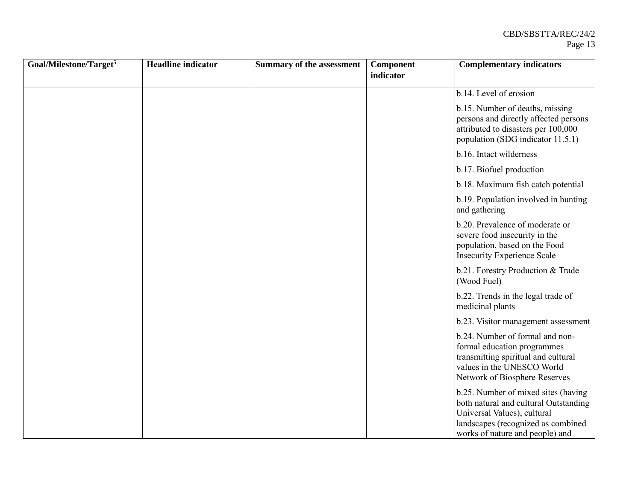| Goal/Milestone/Target <sup>5</sup> | <b>Headline</b> indicator | Summary of the assessment | Component<br>indicator | <b>Complementary indicators</b>                                                                                                                                                      |
|------------------------------------|---------------------------|---------------------------|------------------------|--------------------------------------------------------------------------------------------------------------------------------------------------------------------------------------|
|                                    |                           |                           |                        | b.14. Level of erosion                                                                                                                                                               |
|                                    |                           |                           |                        | b.15. Number of deaths, missing<br>persons and directly affected persons<br>attributed to disasters per 100,000<br>population (SDG indicator 11.5.1)                                 |
|                                    |                           |                           |                        | b.16. Intact wilderness                                                                                                                                                              |
|                                    |                           |                           |                        | b.17. Biofuel production                                                                                                                                                             |
|                                    |                           |                           |                        | b.18. Maximum fish catch potential                                                                                                                                                   |
|                                    |                           |                           |                        | b.19. Population involved in hunting<br>and gathering                                                                                                                                |
|                                    |                           |                           |                        | b.20. Prevalence of moderate or<br>severe food insecurity in the<br>population, based on the Food<br><b>Insecurity Experience Scale</b>                                              |
|                                    |                           |                           |                        | b.21. Forestry Production & Trade<br>(Wood Fuel)                                                                                                                                     |
|                                    |                           |                           |                        | b.22. Trends in the legal trade of<br>medicinal plants                                                                                                                               |
|                                    |                           |                           |                        | b.23. Visitor management assessment                                                                                                                                                  |
|                                    |                           |                           |                        | b.24. Number of formal and non-<br>formal education programmes<br>transmitting spiritual and cultural<br>values in the UNESCO World<br>Network of Biosphere Reserves                 |
|                                    |                           |                           |                        | b.25. Number of mixed sites (having<br>both natural and cultural Outstanding<br>Universal Values), cultural<br>landscapes (recognized as combined<br>works of nature and people) and |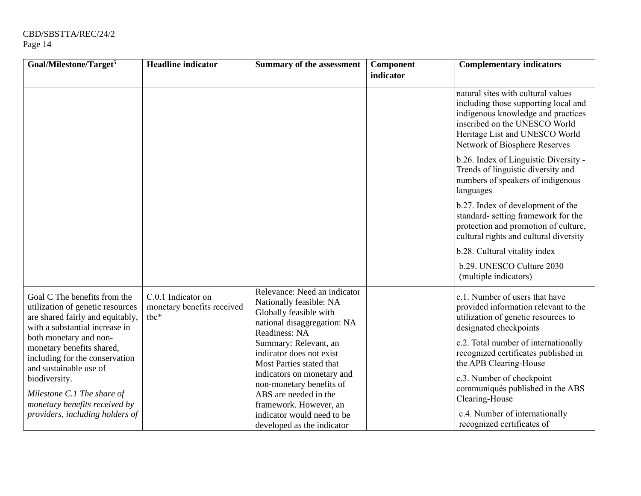| Goal/Milestone/Target <sup>5</sup>                                                                                                                               | <b>Headline indicator</b>                                  | <b>Summary of the assessment</b>                                                                                                  | Component | <b>Complementary indicators</b>                                                                                                                                                                                      |
|------------------------------------------------------------------------------------------------------------------------------------------------------------------|------------------------------------------------------------|-----------------------------------------------------------------------------------------------------------------------------------|-----------|----------------------------------------------------------------------------------------------------------------------------------------------------------------------------------------------------------------------|
|                                                                                                                                                                  |                                                            |                                                                                                                                   | indicator |                                                                                                                                                                                                                      |
|                                                                                                                                                                  |                                                            |                                                                                                                                   |           | natural sites with cultural values<br>including those supporting local and<br>indigenous knowledge and practices<br>inscribed on the UNESCO World<br>Heritage List and UNESCO World<br>Network of Biosphere Reserves |
|                                                                                                                                                                  |                                                            |                                                                                                                                   |           | b.26. Index of Linguistic Diversity -<br>Trends of linguistic diversity and<br>numbers of speakers of indigenous<br>languages                                                                                        |
|                                                                                                                                                                  |                                                            |                                                                                                                                   |           | b.27. Index of development of the<br>standard- setting framework for the<br>protection and promotion of culture,<br>cultural rights and cultural diversity                                                           |
|                                                                                                                                                                  |                                                            |                                                                                                                                   |           | b.28. Cultural vitality index                                                                                                                                                                                        |
|                                                                                                                                                                  |                                                            |                                                                                                                                   |           | b.29. UNESCO Culture 2030<br>(multiple indicators)                                                                                                                                                                   |
| Goal C The benefits from the<br>utilization of genetic resources<br>are shared fairly and equitably,<br>with a substantial increase in<br>both monetary and non- | C.0.1 Indicator on<br>monetary benefits received<br>$the*$ | Relevance: Need an indicator<br>Nationally feasible: NA<br>Globally feasible with<br>national disaggregation: NA<br>Readiness: NA |           | c.1. Number of users that have<br>provided information relevant to the<br>utilization of genetic resources to<br>designated checkpoints                                                                              |
| monetary benefits shared,<br>including for the conservation<br>and sustainable use of                                                                            |                                                            | Summary: Relevant, an<br>indicator does not exist<br>Most Parties stated that                                                     |           | c.2. Total number of internationally<br>recognized certificates published in<br>the APB Clearing-House                                                                                                               |
| biodiversity.<br>Milestone C.1 The share of                                                                                                                      |                                                            | indicators on monetary and<br>non-monetary benefits of<br>ABS are needed in the                                                   |           | c.3. Number of checkpoint<br>communiqués published in the ABS<br>Clearing-House                                                                                                                                      |
| monetary benefits received by<br>providers, including holders of                                                                                                 |                                                            | framework. However, an<br>indicator would need to be<br>developed as the indicator                                                |           | c.4. Number of internationally<br>recognized certificates of                                                                                                                                                         |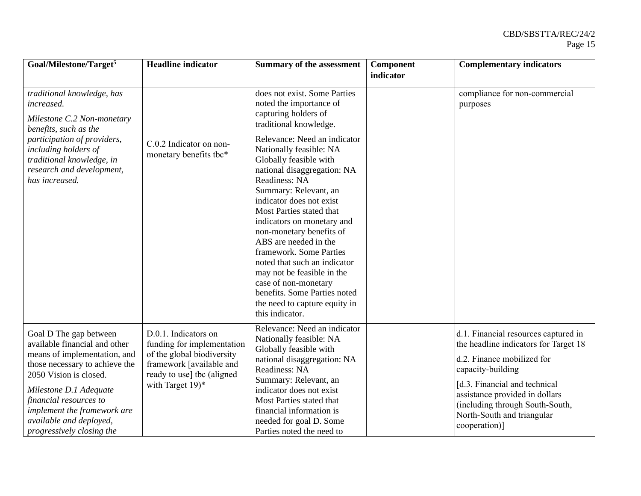| Goal/Milestone/Target <sup>5</sup>                                                                                                                                                                                                                                                             | <b>Headline</b> indicator                                                                                                                                      | Summary of the assessment                                                                                                                                                                                                                                                                                                                                                                                                                                                                                  | Component<br>indicator | <b>Complementary indicators</b>                                                                                                                                                                                                                                                       |
|------------------------------------------------------------------------------------------------------------------------------------------------------------------------------------------------------------------------------------------------------------------------------------------------|----------------------------------------------------------------------------------------------------------------------------------------------------------------|------------------------------------------------------------------------------------------------------------------------------------------------------------------------------------------------------------------------------------------------------------------------------------------------------------------------------------------------------------------------------------------------------------------------------------------------------------------------------------------------------------|------------------------|---------------------------------------------------------------------------------------------------------------------------------------------------------------------------------------------------------------------------------------------------------------------------------------|
| traditional knowledge, has<br>increased.<br>Milestone C.2 Non-monetary<br>benefits, such as the<br>participation of providers,<br>including holders of<br>traditional knowledge, in<br>research and development,<br>has increased.                                                             |                                                                                                                                                                | does not exist. Some Parties<br>noted the importance of<br>capturing holders of<br>traditional knowledge.                                                                                                                                                                                                                                                                                                                                                                                                  |                        | compliance for non-commercial<br>purposes                                                                                                                                                                                                                                             |
|                                                                                                                                                                                                                                                                                                | C.0.2 Indicator on non-<br>monetary benefits tbc*                                                                                                              | Relevance: Need an indicator<br>Nationally feasible: NA<br>Globally feasible with<br>national disaggregation: NA<br>Readiness: NA<br>Summary: Relevant, an<br>indicator does not exist<br>Most Parties stated that<br>indicators on monetary and<br>non-monetary benefits of<br>ABS are needed in the<br>framework. Some Parties<br>noted that such an indicator<br>may not be feasible in the<br>case of non-monetary<br>benefits. Some Parties noted<br>the need to capture equity in<br>this indicator. |                        |                                                                                                                                                                                                                                                                                       |
| Goal D The gap between<br>available financial and other<br>means of implementation, and<br>those necessary to achieve the<br>2050 Vision is closed.<br>Milestone D.1 Adequate<br>financial resources to<br>implement the framework are<br>available and deployed,<br>progressively closing the | D.0.1. Indicators on<br>funding for implementation<br>of the global biodiversity<br>framework [available and<br>ready to use] tbc (aligned<br>with Target 19)* | Relevance: Need an indicator<br>Nationally feasible: NA<br>Globally feasible with<br>national disaggregation: NA<br>Readiness: NA<br>Summary: Relevant, an<br>indicator does not exist<br>Most Parties stated that<br>financial information is<br>needed for goal D. Some<br>Parties noted the need to                                                                                                                                                                                                     |                        | d.1. Financial resources captured in<br>the headline indicators for Target 18<br>d.2. Finance mobilized for<br>capacity-building<br>[d.3. Financial and technical<br>assistance provided in dollars<br>(including through South-South,<br>North-South and triangular<br>cooperation)] |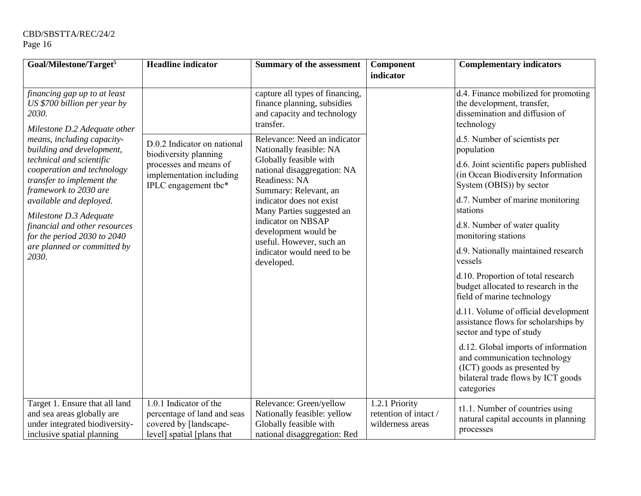| Goal/Milestone/Target <sup>5</sup>                                                                                                                                                         | <b>Headline indicator</b>                                                                                     | <b>Summary of the assessment</b>                                                                                                                                            | Component<br>indicator                                                                                   | <b>Complementary indicators</b>                                                                                                                        |
|--------------------------------------------------------------------------------------------------------------------------------------------------------------------------------------------|---------------------------------------------------------------------------------------------------------------|-----------------------------------------------------------------------------------------------------------------------------------------------------------------------------|----------------------------------------------------------------------------------------------------------|--------------------------------------------------------------------------------------------------------------------------------------------------------|
| financing gap up to at least<br>US \$700 billion per year by<br>2030.<br>Milestone D.2 Adequate other                                                                                      |                                                                                                               | capture all types of financing,<br>finance planning, subsidies<br>and capacity and technology<br>transfer.                                                                  |                                                                                                          | d.4. Finance mobilized for promoting<br>the development, transfer,<br>dissemination and diffusion of<br>technology                                     |
| means, including capacity-<br>building and development,                                                                                                                                    | D.0.2 Indicator on national<br>biodiversity planning                                                          | Relevance: Need an indicator<br>Nationally feasible: NA                                                                                                                     |                                                                                                          | d.5. Number of scientists per<br>population                                                                                                            |
| technical and scientific<br>processes and means of<br>cooperation and technology<br>implementation including<br>transfer to implement the<br>IPLC engagement tbc*<br>framework to 2030 are | Globally feasible with<br>national disaggregation: NA<br>Readiness: NA<br>Summary: Relevant, an               |                                                                                                                                                                             | d.6. Joint scientific papers published<br>(in Ocean Biodiversity Information<br>System (OBIS)) by sector |                                                                                                                                                        |
| available and deployed.                                                                                                                                                                    | Milestone D.3 Adequate                                                                                        | indicator does not exist<br>Many Parties suggested an<br>indicator on NBSAP<br>development would be<br>useful. However, such an<br>indicator would need to be<br>developed. |                                                                                                          | d.7. Number of marine monitoring<br>stations                                                                                                           |
| financial and other resources<br>for the period 2030 to 2040                                                                                                                               |                                                                                                               |                                                                                                                                                                             |                                                                                                          | d.8. Number of water quality<br>monitoring stations                                                                                                    |
| are planned or committed by<br>2030.                                                                                                                                                       |                                                                                                               |                                                                                                                                                                             |                                                                                                          | d.9. Nationally maintained research<br>vessels                                                                                                         |
|                                                                                                                                                                                            |                                                                                                               |                                                                                                                                                                             |                                                                                                          | d.10. Proportion of total research<br>budget allocated to research in the<br>field of marine technology                                                |
|                                                                                                                                                                                            |                                                                                                               |                                                                                                                                                                             |                                                                                                          | d.11. Volume of official development<br>assistance flows for scholarships by<br>sector and type of study                                               |
|                                                                                                                                                                                            |                                                                                                               |                                                                                                                                                                             |                                                                                                          | d.12. Global imports of information<br>and communication technology<br>(ICT) goods as presented by<br>bilateral trade flows by ICT goods<br>categories |
| Target 1. Ensure that all land<br>and sea areas globally are<br>under integrated biodiversity-<br>inclusive spatial planning                                                               | 1.0.1 Indicator of the<br>percentage of land and seas<br>covered by [landscape-<br>level] spatial [plans that | Relevance: Green/yellow<br>Nationally feasible: yellow<br>Globally feasible with<br>national disaggregation: Red                                                            | 1.2.1 Priority<br>retention of intact /<br>wilderness areas                                              | t1.1. Number of countries using<br>natural capital accounts in planning<br>processes                                                                   |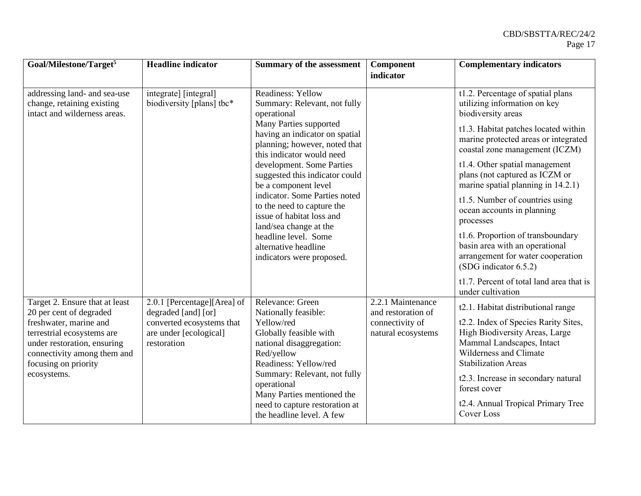| Goal/Milestone/Target <sup>5</sup>                                                                                                                                                                                     | <b>Headline</b> indicator                                                                                                | <b>Summary of the assessment</b>                                                                                                                                                                                                                                                                | Component                                                                        | <b>Complementary indicators</b>                                                                                                                                                                                                                                                                                     |
|------------------------------------------------------------------------------------------------------------------------------------------------------------------------------------------------------------------------|--------------------------------------------------------------------------------------------------------------------------|-------------------------------------------------------------------------------------------------------------------------------------------------------------------------------------------------------------------------------------------------------------------------------------------------|----------------------------------------------------------------------------------|---------------------------------------------------------------------------------------------------------------------------------------------------------------------------------------------------------------------------------------------------------------------------------------------------------------------|
|                                                                                                                                                                                                                        |                                                                                                                          |                                                                                                                                                                                                                                                                                                 | indicator                                                                        |                                                                                                                                                                                                                                                                                                                     |
| addressing land- and sea-use<br>change, retaining existing<br>intact and wilderness areas.                                                                                                                             | integrate] [integral]<br>biodiversity [plans] tbc*                                                                       | Readiness: Yellow<br>Summary: Relevant, not fully<br>operational<br>Many Parties supported<br>having an indicator on spatial<br>planning; however, noted that<br>this indicator would need<br>development. Some Parties<br>suggested this indicator could<br>be a component level               |                                                                                  | t1.2. Percentage of spatial plans<br>utilizing information on key<br>biodiversity areas<br>t1.3. Habitat patches located within<br>marine protected areas or integrated<br>coastal zone management (ICZM)<br>t1.4. Other spatial management<br>plans (not captured as ICZM or<br>marine spatial planning in 14.2.1) |
|                                                                                                                                                                                                                        |                                                                                                                          | indicator. Some Parties noted<br>to the need to capture the<br>issue of habitat loss and<br>land/sea change at the<br>headline level. Some<br>alternative headline<br>indicators were proposed.                                                                                                 |                                                                                  | t1.5. Number of countries using<br>ocean accounts in planning<br>processes<br>t1.6. Proportion of transboundary<br>basin area with an operational<br>arrangement for water cooperation<br>(SDG indicator 6.5.2)                                                                                                     |
|                                                                                                                                                                                                                        |                                                                                                                          |                                                                                                                                                                                                                                                                                                 |                                                                                  | t1.7. Percent of total land area that is<br>under cultivation                                                                                                                                                                                                                                                       |
| Target 2. Ensure that at least<br>20 per cent of degraded<br>freshwater, marine and<br>terrestrial ecosystems are<br>under restoration, ensuring<br>connectivity among them and<br>focusing on priority<br>ecosystems. | 2.0.1 [Percentage][Area] of<br>degraded [and] [or]<br>converted ecosystems that<br>are under [ecological]<br>restoration | Relevance: Green<br>Nationally feasible:<br>Yellow/red<br>Globally feasible with<br>national disaggregation:<br>Red/yellow<br>Readiness: Yellow/red<br>Summary: Relevant, not fully<br>operational<br>Many Parties mentioned the<br>need to capture restoration at<br>the headline level. A few | 2.2.1 Maintenance<br>and restoration of<br>connectivity of<br>natural ecosystems | t2.1. Habitat distributional range<br>t2.2. Index of Species Rarity Sites,<br>High Biodiversity Areas, Large<br>Mammal Landscapes, Intact<br>Wilderness and Climate<br><b>Stabilization Areas</b><br>t2.3. Increase in secondary natural<br>forest cover<br>t2.4. Annual Tropical Primary Tree<br><b>Cover Loss</b> |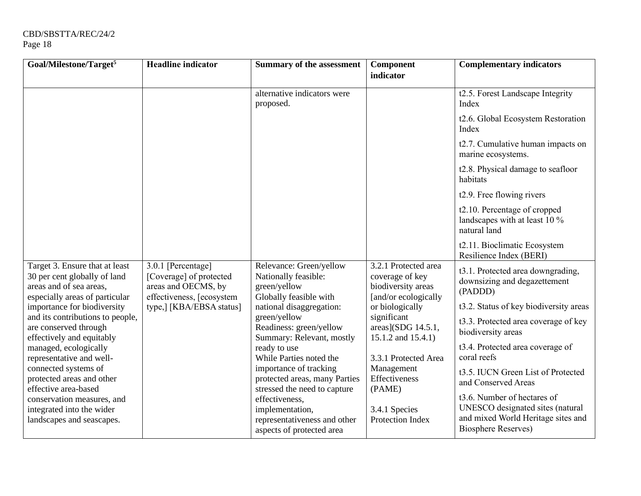| Goal/Milestone/Target <sup>5</sup>                                                                                          | <b>Headline indicator</b>                                                                         | <b>Summary of the assessment</b>                                                               | Component                                                                             | <b>Complementary indicators</b>                                                                                                     |
|-----------------------------------------------------------------------------------------------------------------------------|---------------------------------------------------------------------------------------------------|------------------------------------------------------------------------------------------------|---------------------------------------------------------------------------------------|-------------------------------------------------------------------------------------------------------------------------------------|
|                                                                                                                             |                                                                                                   |                                                                                                | indicator                                                                             |                                                                                                                                     |
|                                                                                                                             |                                                                                                   | alternative indicators were<br>proposed.                                                       |                                                                                       | t2.5. Forest Landscape Integrity<br>Index                                                                                           |
|                                                                                                                             |                                                                                                   |                                                                                                |                                                                                       | t2.6. Global Ecosystem Restoration<br>Index                                                                                         |
|                                                                                                                             |                                                                                                   |                                                                                                |                                                                                       | t2.7. Cumulative human impacts on<br>marine ecosystems.                                                                             |
|                                                                                                                             |                                                                                                   |                                                                                                |                                                                                       | t2.8. Physical damage to seafloor<br>habitats                                                                                       |
|                                                                                                                             |                                                                                                   |                                                                                                |                                                                                       | t2.9. Free flowing rivers                                                                                                           |
|                                                                                                                             |                                                                                                   |                                                                                                |                                                                                       | t2.10. Percentage of cropped<br>landscapes with at least 10 %<br>natural land                                                       |
|                                                                                                                             |                                                                                                   |                                                                                                |                                                                                       | t2.11. Bioclimatic Ecosystem<br>Resilience Index (BERI)                                                                             |
| Target 3. Ensure that at least<br>30 per cent globally of land<br>areas and of sea areas,<br>especially areas of particular | 3.0.1 [Percentage]<br>[Coverage] of protected<br>areas and OECMS, by<br>effectiveness, [ecosystem | Relevance: Green/yellow<br>Nationally feasible:<br>green/yellow<br>Globally feasible with      | 3.2.1 Protected area<br>coverage of key<br>biodiversity areas<br>[and/or ecologically | t3.1. Protected area downgrading,<br>downsizing and degazettement<br>(PADDD)                                                        |
| importance for biodiversity                                                                                                 | type,] [KBA/EBSA status]                                                                          | national disaggregation:                                                                       | or biologically                                                                       | t3.2. Status of key biodiversity areas                                                                                              |
| and its contributions to people,<br>are conserved through<br>effectively and equitably                                      |                                                                                                   | green/yellow<br>Readiness: green/yellow<br>Summary: Relevant, mostly                           | significant<br>$areas$ ](SDG 14.5.1,<br>15.1.2 and 15.4.1)                            | t3.3. Protected area coverage of key<br>biodiversity areas                                                                          |
| managed, ecologically<br>representative and well-                                                                           |                                                                                                   | ready to use<br>While Parties noted the                                                        | 3.3.1 Protected Area                                                                  | t3.4. Protected area coverage of<br>coral reefs                                                                                     |
| connected systems of<br>protected areas and other<br>effective area-based                                                   |                                                                                                   | importance of tracking<br>protected areas, many Parties<br>stressed the need to capture        | Management<br>Effectiveness<br>(PAME)                                                 | t3.5. IUCN Green List of Protected<br>and Conserved Areas                                                                           |
| conservation measures, and<br>integrated into the wider<br>landscapes and seascapes.                                        |                                                                                                   | effectiveness,<br>implementation,<br>representativeness and other<br>aspects of protected area | 3.4.1 Species<br><b>Protection Index</b>                                              | t3.6. Number of hectares of<br>UNESCO designated sites (natural<br>and mixed World Heritage sites and<br><b>Biosphere Reserves)</b> |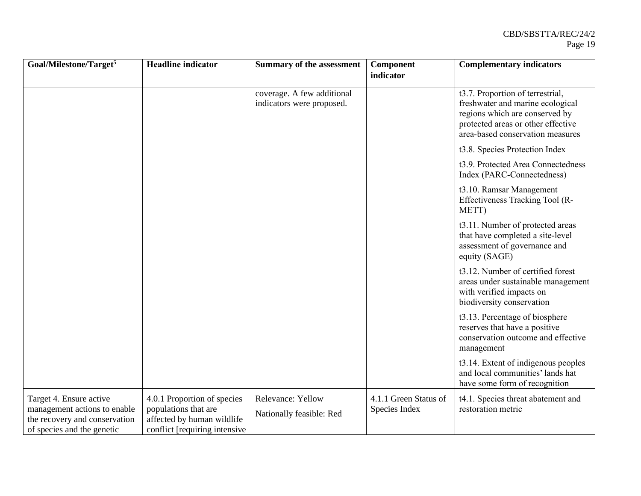| Goal/Milestone/Target <sup>5</sup>                                                                                     | <b>Headline</b> indicator                                                                                           | <b>Summary of the assessment</b>                        | Component                              | <b>Complementary indicators</b>                                                                                                                                                  |
|------------------------------------------------------------------------------------------------------------------------|---------------------------------------------------------------------------------------------------------------------|---------------------------------------------------------|----------------------------------------|----------------------------------------------------------------------------------------------------------------------------------------------------------------------------------|
|                                                                                                                        |                                                                                                                     |                                                         | indicator                              |                                                                                                                                                                                  |
|                                                                                                                        |                                                                                                                     | coverage. A few additional<br>indicators were proposed. |                                        | t3.7. Proportion of terrestrial,<br>freshwater and marine ecological<br>regions which are conserved by<br>protected areas or other effective<br>area-based conservation measures |
|                                                                                                                        |                                                                                                                     |                                                         |                                        | t3.8. Species Protection Index                                                                                                                                                   |
|                                                                                                                        |                                                                                                                     |                                                         |                                        | t3.9. Protected Area Connectedness<br>Index (PARC-Connectedness)                                                                                                                 |
|                                                                                                                        |                                                                                                                     |                                                         |                                        | t3.10. Ramsar Management<br>Effectiveness Tracking Tool (R-<br>METT)                                                                                                             |
|                                                                                                                        |                                                                                                                     |                                                         |                                        | t3.11. Number of protected areas<br>that have completed a site-level<br>assessment of governance and<br>equity (SAGE)                                                            |
|                                                                                                                        |                                                                                                                     |                                                         |                                        | t3.12. Number of certified forest<br>areas under sustainable management<br>with verified impacts on<br>biodiversity conservation                                                 |
|                                                                                                                        |                                                                                                                     |                                                         |                                        | t3.13. Percentage of biosphere<br>reserves that have a positive<br>conservation outcome and effective<br>management                                                              |
|                                                                                                                        |                                                                                                                     |                                                         |                                        | t3.14. Extent of indigenous peoples<br>and local communities' lands hat<br>have some form of recognition                                                                         |
| Target 4. Ensure active<br>management actions to enable<br>the recovery and conservation<br>of species and the genetic | 4.0.1 Proportion of species<br>populations that are<br>affected by human wildlife<br>conflict [requiring intensive] | Relevance: Yellow<br>Nationally feasible: Red           | 4.1.1 Green Status of<br>Species Index | t4.1. Species threat abatement and<br>restoration metric                                                                                                                         |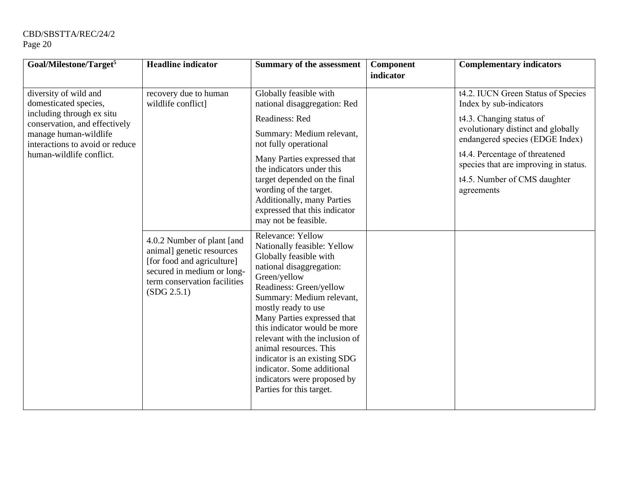| Goal/Milestone/Target <sup>5</sup>                                                                                                                                                                   | <b>Headline</b> indicator                                                                                                                                          | <b>Summary of the assessment</b>                                                                                                                                                                                                                                                                                                                                                                                                                          | Component | <b>Complementary indicators</b>                                                                                                                                                                                                                                                             |
|------------------------------------------------------------------------------------------------------------------------------------------------------------------------------------------------------|--------------------------------------------------------------------------------------------------------------------------------------------------------------------|-----------------------------------------------------------------------------------------------------------------------------------------------------------------------------------------------------------------------------------------------------------------------------------------------------------------------------------------------------------------------------------------------------------------------------------------------------------|-----------|---------------------------------------------------------------------------------------------------------------------------------------------------------------------------------------------------------------------------------------------------------------------------------------------|
|                                                                                                                                                                                                      |                                                                                                                                                                    |                                                                                                                                                                                                                                                                                                                                                                                                                                                           | indicator |                                                                                                                                                                                                                                                                                             |
| diversity of wild and<br>domesticated species,<br>including through ex situ<br>conservation, and effectively<br>manage human-wildlife<br>interactions to avoid or reduce<br>human-wildlife conflict. | recovery due to human<br>wildlife conflict]                                                                                                                        | Globally feasible with<br>national disaggregation: Red<br>Readiness: Red<br>Summary: Medium relevant,<br>not fully operational<br>Many Parties expressed that<br>the indicators under this<br>target depended on the final<br>wording of the target.<br><b>Additionally, many Parties</b><br>expressed that this indicator<br>may not be feasible.                                                                                                        |           | t4.2. IUCN Green Status of Species<br>Index by sub-indicators<br>t4.3. Changing status of<br>evolutionary distinct and globally<br>endangered species (EDGE Index)<br>t4.4. Percentage of threatened<br>species that are improving in status.<br>t4.5. Number of CMS daughter<br>agreements |
|                                                                                                                                                                                                      | 4.0.2 Number of plant [and<br>animal] genetic resources<br>[for food and agriculture]<br>secured in medium or long-<br>term conservation facilities<br>(SDG 2.5.1) | Relevance: Yellow<br>Nationally feasible: Yellow<br>Globally feasible with<br>national disaggregation:<br>Green/yellow<br>Readiness: Green/yellow<br>Summary: Medium relevant,<br>mostly ready to use<br>Many Parties expressed that<br>this indicator would be more<br>relevant with the inclusion of<br>animal resources. This<br>indicator is an existing SDG<br>indicator. Some additional<br>indicators were proposed by<br>Parties for this target. |           |                                                                                                                                                                                                                                                                                             |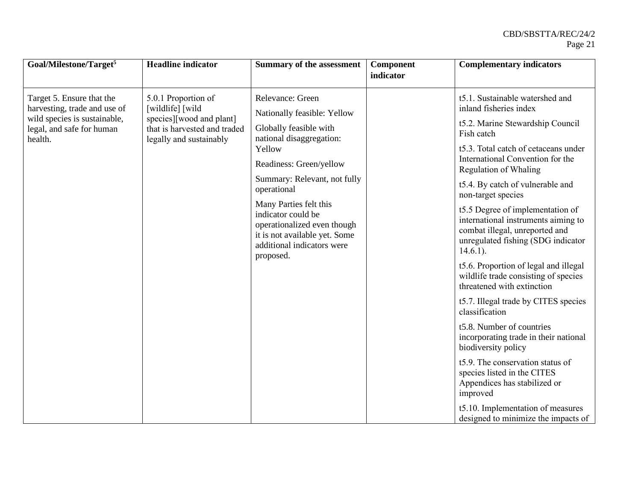| Goal/Milestone/Target <sup>5</sup>                                                                                                | <b>Headline</b> indicator                                                                                                      | <b>Summary of the assessment</b>                                                                                                                                                                                                                                                                                                                     | Component<br>indicator | <b>Complementary indicators</b>                                                                                                                                                                                                                                                                                                                                                                                                                                                                                                                                                                                                                                                                                                                                                                                                                                                                               |
|-----------------------------------------------------------------------------------------------------------------------------------|--------------------------------------------------------------------------------------------------------------------------------|------------------------------------------------------------------------------------------------------------------------------------------------------------------------------------------------------------------------------------------------------------------------------------------------------------------------------------------------------|------------------------|---------------------------------------------------------------------------------------------------------------------------------------------------------------------------------------------------------------------------------------------------------------------------------------------------------------------------------------------------------------------------------------------------------------------------------------------------------------------------------------------------------------------------------------------------------------------------------------------------------------------------------------------------------------------------------------------------------------------------------------------------------------------------------------------------------------------------------------------------------------------------------------------------------------|
| Target 5. Ensure that the<br>harvesting, trade and use of<br>wild species is sustainable,<br>legal, and safe for human<br>health. | 5.0.1 Proportion of<br>[wildlife] [wild<br>species][wood and plant]<br>that is harvested and traded<br>legally and sustainably | Relevance: Green<br>Nationally feasible: Yellow<br>Globally feasible with<br>national disaggregation:<br>Yellow<br>Readiness: Green/yellow<br>Summary: Relevant, not fully<br>operational<br>Many Parties felt this<br>indicator could be<br>operationalized even though<br>it is not available yet. Some<br>additional indicators were<br>proposed. |                        | t5.1. Sustainable watershed and<br>inland fisheries index<br>t5.2. Marine Stewardship Council<br>Fish catch<br>t5.3. Total catch of cetaceans under<br>International Convention for the<br>Regulation of Whaling<br>t5.4. By catch of vulnerable and<br>non-target species<br>t5.5 Degree of implementation of<br>international instruments aiming to<br>combat illegal, unreported and<br>unregulated fishing (SDG indicator<br>$14.6.1$ ).<br>t5.6. Proportion of legal and illegal<br>wildlife trade consisting of species<br>threatened with extinction<br>t5.7. Illegal trade by CITES species<br>classification<br>t5.8. Number of countries<br>incorporating trade in their national<br>biodiversity policy<br>t5.9. The conservation status of<br>species listed in the CITES<br>Appendices has stabilized or<br>improved<br>t5.10. Implementation of measures<br>designed to minimize the impacts of |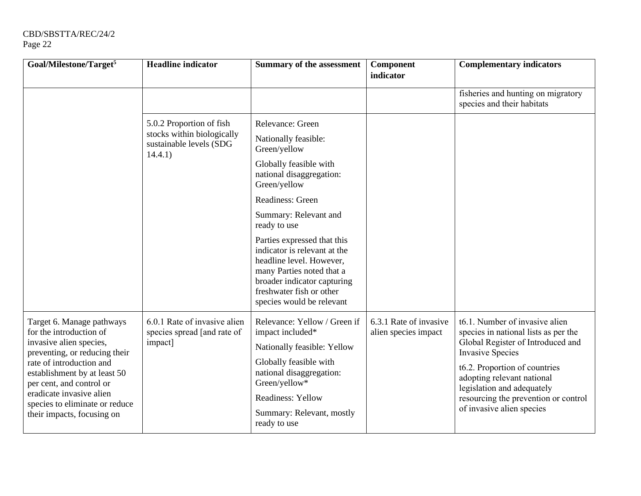| Goal/Milestone/Target <sup>5</sup>                                                                               | <b>Headline indicator</b>                                              | <b>Summary of the assessment</b>                                                                                                                                                                             | Component<br>indicator                         | <b>Complementary indicators</b>                                                                                                        |
|------------------------------------------------------------------------------------------------------------------|------------------------------------------------------------------------|--------------------------------------------------------------------------------------------------------------------------------------------------------------------------------------------------------------|------------------------------------------------|----------------------------------------------------------------------------------------------------------------------------------------|
|                                                                                                                  |                                                                        |                                                                                                                                                                                                              |                                                | fisheries and hunting on migratory<br>species and their habitats                                                                       |
|                                                                                                                  | 5.0.2 Proportion of fish                                               | Relevance: Green                                                                                                                                                                                             |                                                |                                                                                                                                        |
|                                                                                                                  | stocks within biologically<br>sustainable levels (SDG<br>14.4.1)       | Nationally feasible:<br>Green/yellow                                                                                                                                                                         |                                                |                                                                                                                                        |
|                                                                                                                  |                                                                        | Globally feasible with<br>national disaggregation:<br>Green/yellow                                                                                                                                           |                                                |                                                                                                                                        |
|                                                                                                                  |                                                                        | Readiness: Green                                                                                                                                                                                             |                                                |                                                                                                                                        |
|                                                                                                                  |                                                                        | Summary: Relevant and<br>ready to use                                                                                                                                                                        |                                                |                                                                                                                                        |
|                                                                                                                  |                                                                        | Parties expressed that this<br>indicator is relevant at the<br>headline level. However,<br>many Parties noted that a<br>broader indicator capturing<br>freshwater fish or other<br>species would be relevant |                                                |                                                                                                                                        |
| Target 6. Manage pathways<br>for the introduction of<br>invasive alien species,<br>preventing, or reducing their | 6.0.1 Rate of invasive alien<br>species spread [and rate of<br>impact] | Relevance: Yellow / Green if<br>impact included*<br>Nationally feasible: Yellow                                                                                                                              | 6.3.1 Rate of invasive<br>alien species impact | t6.1. Number of invasive alien<br>species in national lists as per the<br>Global Register of Introduced and<br><b>Invasive Species</b> |
| rate of introduction and<br>establishment by at least 50<br>per cent, and control or                             |                                                                        | Globally feasible with<br>national disaggregation:<br>Green/yellow*                                                                                                                                          |                                                | t6.2. Proportion of countries<br>adopting relevant national<br>legislation and adequately                                              |
| eradicate invasive alien<br>species to eliminate or reduce                                                       |                                                                        | Readiness: Yellow                                                                                                                                                                                            |                                                | resourcing the prevention or control                                                                                                   |
| their impacts, focusing on                                                                                       |                                                                        | Summary: Relevant, mostly<br>ready to use                                                                                                                                                                    |                                                | of invasive alien species                                                                                                              |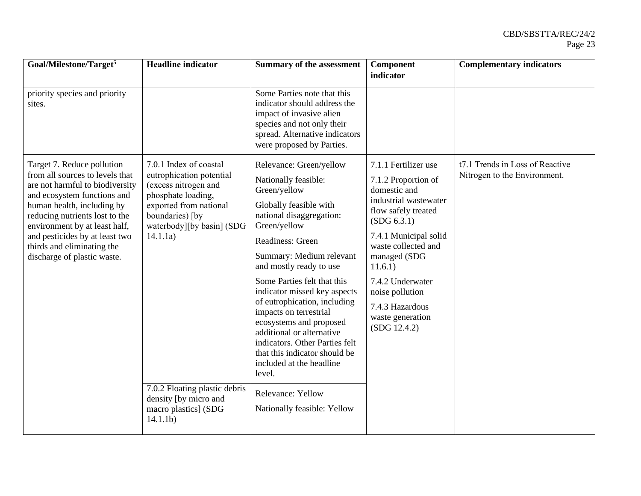| Goal/Milestone/Target <sup>5</sup>                                                                                                                                                                                                                                                                                              | <b>Headline</b> indicator                                                                                                                                                              | <b>Summary of the assessment</b>                                                                                                                                                                                                                                                                                                                                                                                                                                                                           | Component<br>indicator                                                                                                                                                                                                                                                                              | <b>Complementary indicators</b>                                 |
|---------------------------------------------------------------------------------------------------------------------------------------------------------------------------------------------------------------------------------------------------------------------------------------------------------------------------------|----------------------------------------------------------------------------------------------------------------------------------------------------------------------------------------|------------------------------------------------------------------------------------------------------------------------------------------------------------------------------------------------------------------------------------------------------------------------------------------------------------------------------------------------------------------------------------------------------------------------------------------------------------------------------------------------------------|-----------------------------------------------------------------------------------------------------------------------------------------------------------------------------------------------------------------------------------------------------------------------------------------------------|-----------------------------------------------------------------|
| priority species and priority<br>sites.                                                                                                                                                                                                                                                                                         |                                                                                                                                                                                        | Some Parties note that this<br>indicator should address the<br>impact of invasive alien<br>species and not only their<br>spread. Alternative indicators<br>were proposed by Parties.                                                                                                                                                                                                                                                                                                                       |                                                                                                                                                                                                                                                                                                     |                                                                 |
| Target 7. Reduce pollution<br>from all sources to levels that<br>are not harmful to biodiversity<br>and ecosystem functions and<br>human health, including by<br>reducing nutrients lost to the<br>environment by at least half,<br>and pesticides by at least two<br>thirds and eliminating the<br>discharge of plastic waste. | 7.0.1 Index of coastal<br>eutrophication potential<br>(excess nitrogen and<br>phosphate loading,<br>exported from national<br>boundaries) [by<br>waterbody][by basin] (SDG<br>14.1.1a) | Relevance: Green/yellow<br>Nationally feasible:<br>Green/yellow<br>Globally feasible with<br>national disaggregation:<br>Green/yellow<br>Readiness: Green<br>Summary: Medium relevant<br>and mostly ready to use<br>Some Parties felt that this<br>indicator missed key aspects<br>of eutrophication, including<br>impacts on terrestrial<br>ecosystems and proposed<br>additional or alternative<br>indicators. Other Parties felt<br>that this indicator should be<br>included at the headline<br>level. | 7.1.1 Fertilizer use<br>7.1.2 Proportion of<br>domestic and<br>industrial wastewater<br>flow safely treated<br>(SDG 6.3.1)<br>7.4.1 Municipal solid<br>waste collected and<br>managed (SDG<br>11.6.1)<br>7.4.2 Underwater<br>noise pollution<br>7.4.3 Hazardous<br>waste generation<br>(SDG 12.4.2) | t7.1 Trends in Loss of Reactive<br>Nitrogen to the Environment. |
|                                                                                                                                                                                                                                                                                                                                 | 7.0.2 Floating plastic debris<br>density [by micro and<br>macro plastics] (SDG<br>14.1.1 <sub>b</sub>                                                                                  | Relevance: Yellow<br>Nationally feasible: Yellow                                                                                                                                                                                                                                                                                                                                                                                                                                                           |                                                                                                                                                                                                                                                                                                     |                                                                 |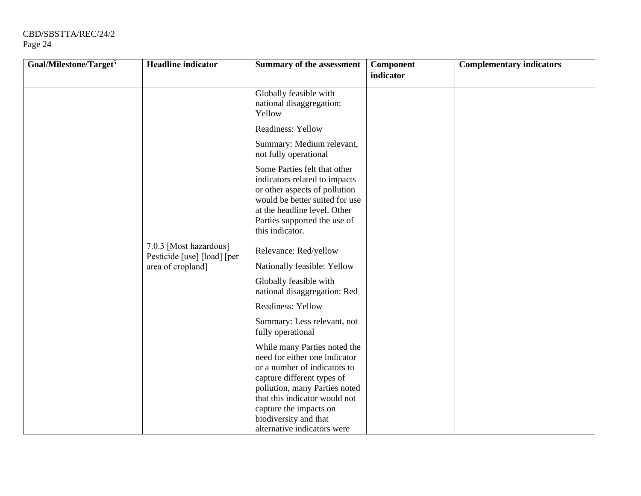| Goal/Milestone/Target <sup>5</sup> | <b>Headline</b> indicator                             | Summary of the assessment                                                                                                                                                                                               | Component<br>indicator | <b>Complementary indicators</b> |
|------------------------------------|-------------------------------------------------------|-------------------------------------------------------------------------------------------------------------------------------------------------------------------------------------------------------------------------|------------------------|---------------------------------|
|                                    |                                                       | Globally feasible with<br>national disaggregation:<br>Yellow                                                                                                                                                            |                        |                                 |
|                                    |                                                       | Readiness: Yellow                                                                                                                                                                                                       |                        |                                 |
|                                    |                                                       | Summary: Medium relevant,<br>not fully operational                                                                                                                                                                      |                        |                                 |
|                                    |                                                       | Some Parties felt that other<br>indicators related to impacts<br>or other aspects of pollution<br>would be better suited for use<br>at the headline level. Other<br>Parties supported the use of<br>this indicator.     |                        |                                 |
|                                    | 7.0.3 [Most hazardous]<br>Pesticide [use] [load] [per | Relevance: Red/yellow                                                                                                                                                                                                   |                        |                                 |
|                                    | area of cropland]                                     | Nationally feasible: Yellow                                                                                                                                                                                             |                        |                                 |
|                                    |                                                       | Globally feasible with<br>national disaggregation: Red                                                                                                                                                                  |                        |                                 |
|                                    |                                                       | <b>Readiness: Yellow</b>                                                                                                                                                                                                |                        |                                 |
|                                    |                                                       | Summary: Less relevant, not<br>fully operational                                                                                                                                                                        |                        |                                 |
|                                    |                                                       | While many Parties noted the<br>need for either one indicator<br>or a number of indicators to<br>capture different types of<br>pollution, many Parties noted<br>that this indicator would not<br>capture the impacts on |                        |                                 |
|                                    |                                                       | biodiversity and that<br>alternative indicators were                                                                                                                                                                    |                        |                                 |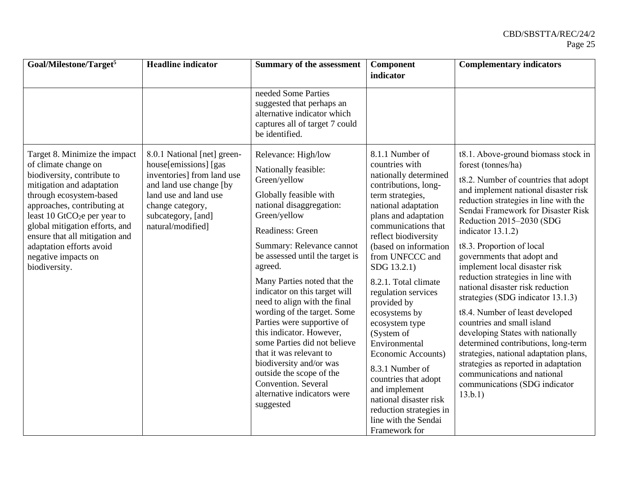| Goal/Milestone/Target <sup>5</sup>                                                                                                                                                                                                                                                                                                                              | <b>Headline</b> indicator                                                                                                                                                                              | <b>Summary of the assessment</b>                                                                                                                                                                                                                                                                                                                                                                                                                                                                                                                                                                               | Component                                                                                                                                                                                                                                                                                                                                                                                                                                                                                                                                                      | <b>Complementary indicators</b>                                                                                                                                                                                                                                                                                                                                                                                                                                                                                                                                                                                                                                                                                                                                                                  |
|-----------------------------------------------------------------------------------------------------------------------------------------------------------------------------------------------------------------------------------------------------------------------------------------------------------------------------------------------------------------|--------------------------------------------------------------------------------------------------------------------------------------------------------------------------------------------------------|----------------------------------------------------------------------------------------------------------------------------------------------------------------------------------------------------------------------------------------------------------------------------------------------------------------------------------------------------------------------------------------------------------------------------------------------------------------------------------------------------------------------------------------------------------------------------------------------------------------|----------------------------------------------------------------------------------------------------------------------------------------------------------------------------------------------------------------------------------------------------------------------------------------------------------------------------------------------------------------------------------------------------------------------------------------------------------------------------------------------------------------------------------------------------------------|--------------------------------------------------------------------------------------------------------------------------------------------------------------------------------------------------------------------------------------------------------------------------------------------------------------------------------------------------------------------------------------------------------------------------------------------------------------------------------------------------------------------------------------------------------------------------------------------------------------------------------------------------------------------------------------------------------------------------------------------------------------------------------------------------|
|                                                                                                                                                                                                                                                                                                                                                                 |                                                                                                                                                                                                        |                                                                                                                                                                                                                                                                                                                                                                                                                                                                                                                                                                                                                | indicator                                                                                                                                                                                                                                                                                                                                                                                                                                                                                                                                                      |                                                                                                                                                                                                                                                                                                                                                                                                                                                                                                                                                                                                                                                                                                                                                                                                  |
|                                                                                                                                                                                                                                                                                                                                                                 |                                                                                                                                                                                                        | needed Some Parties<br>suggested that perhaps an<br>alternative indicator which<br>captures all of target 7 could<br>be identified.                                                                                                                                                                                                                                                                                                                                                                                                                                                                            |                                                                                                                                                                                                                                                                                                                                                                                                                                                                                                                                                                |                                                                                                                                                                                                                                                                                                                                                                                                                                                                                                                                                                                                                                                                                                                                                                                                  |
| Target 8. Minimize the impact<br>of climate change on<br>biodiversity, contribute to<br>mitigation and adaptation<br>through ecosystem-based<br>approaches, contributing at<br>least 10 GtCO <sub>2</sub> e per year to<br>global mitigation efforts, and<br>ensure that all mitigation and<br>adaptation efforts avoid<br>negative impacts on<br>biodiversity. | 8.0.1 National [net] green-<br>house[emissions] [gas]<br>inventories] from land use<br>and land use change [by<br>land use and land use<br>change category,<br>subcategory, [and]<br>natural/modified] | Relevance: High/low<br>Nationally feasible:<br>Green/yellow<br>Globally feasible with<br>national disaggregation:<br>Green/yellow<br>Readiness: Green<br>Summary: Relevance cannot<br>be assessed until the target is<br>agreed.<br>Many Parties noted that the<br>indicator on this target will<br>need to align with the final<br>wording of the target. Some<br>Parties were supportive of<br>this indicator. However,<br>some Parties did not believe<br>that it was relevant to<br>biodiversity and/or was<br>outside the scope of the<br>Convention. Several<br>alternative indicators were<br>suggested | 8.1.1 Number of<br>countries with<br>nationally determined<br>contributions, long-<br>term strategies,<br>national adaptation<br>plans and adaptation<br>communications that<br>reflect biodiversity<br>(based on information<br>from UNFCCC and<br>SDG 13.2.1)<br>8.2.1. Total climate<br>regulation services<br>provided by<br>ecosystems by<br>ecosystem type<br>(System of<br>Environmental<br>Economic Accounts)<br>8.3.1 Number of<br>countries that adopt<br>and implement<br>national disaster risk<br>reduction strategies in<br>line with the Sendai | t8.1. Above-ground biomass stock in<br>forest (tonnes/ha)<br>t8.2. Number of countries that adopt<br>and implement national disaster risk<br>reduction strategies in line with the<br>Sendai Framework for Disaster Risk<br>Reduction 2015-2030 (SDG<br>indicator $13.1.2$ )<br>t8.3. Proportion of local<br>governments that adopt and<br>implement local disaster risk<br>reduction strategies in line with<br>national disaster risk reduction<br>strategies (SDG indicator 13.1.3)<br>t8.4. Number of least developed<br>countries and small island<br>developing States with nationally<br>determined contributions, long-term<br>strategies, national adaptation plans,<br>strategies as reported in adaptation<br>communications and national<br>communications (SDG indicator<br>13.b.1) |
|                                                                                                                                                                                                                                                                                                                                                                 |                                                                                                                                                                                                        |                                                                                                                                                                                                                                                                                                                                                                                                                                                                                                                                                                                                                | Framework for                                                                                                                                                                                                                                                                                                                                                                                                                                                                                                                                                  |                                                                                                                                                                                                                                                                                                                                                                                                                                                                                                                                                                                                                                                                                                                                                                                                  |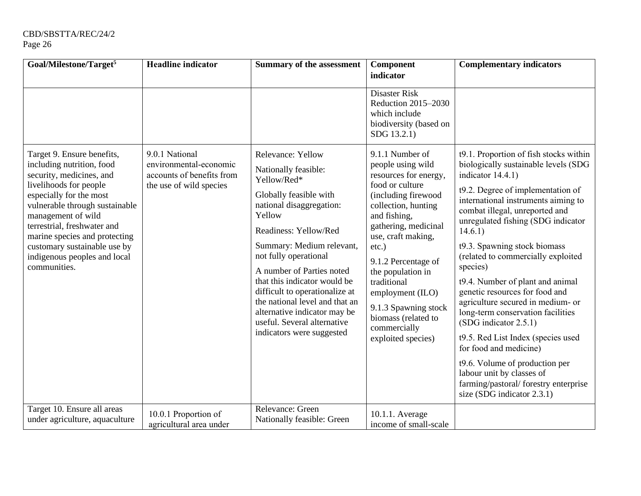| Goal/Milestone/Target <sup>5</sup>                                                                                                                                                                                                                                                                                 | <b>Headline indicator</b>                                                      | <b>Summary of the assessment</b>                                                                                                                                                                                                                                                                                                                                                                                | Component<br>indicator                                                                                                                                                                                                                                                                                                                                    | <b>Complementary indicators</b>                                                                                                                                                                                                                                                                                                                                                                                                                                                                                                                                                                                                                                                           |
|--------------------------------------------------------------------------------------------------------------------------------------------------------------------------------------------------------------------------------------------------------------------------------------------------------------------|--------------------------------------------------------------------------------|-----------------------------------------------------------------------------------------------------------------------------------------------------------------------------------------------------------------------------------------------------------------------------------------------------------------------------------------------------------------------------------------------------------------|-----------------------------------------------------------------------------------------------------------------------------------------------------------------------------------------------------------------------------------------------------------------------------------------------------------------------------------------------------------|-------------------------------------------------------------------------------------------------------------------------------------------------------------------------------------------------------------------------------------------------------------------------------------------------------------------------------------------------------------------------------------------------------------------------------------------------------------------------------------------------------------------------------------------------------------------------------------------------------------------------------------------------------------------------------------------|
| Target 9. Ensure benefits,                                                                                                                                                                                                                                                                                         | 9.0.1 National                                                                 | Relevance: Yellow                                                                                                                                                                                                                                                                                                                                                                                               | Disaster Risk<br>Reduction 2015-2030<br>which include<br>biodiversity (based on<br>SDG 13.2.1)<br>9.1.1 Number of                                                                                                                                                                                                                                         | t9.1. Proportion of fish stocks within                                                                                                                                                                                                                                                                                                                                                                                                                                                                                                                                                                                                                                                    |
| including nutrition, food<br>security, medicines, and<br>livelihoods for people<br>especially for the most<br>vulnerable through sustainable<br>management of wild<br>terrestrial, freshwater and<br>marine species and protecting<br>customary sustainable use by<br>indigenous peoples and local<br>communities. | environmental-economic<br>accounts of benefits from<br>the use of wild species | Nationally feasible:<br>Yellow/Red*<br>Globally feasible with<br>national disaggregation:<br>Yellow<br>Readiness: Yellow/Red<br>Summary: Medium relevant,<br>not fully operational<br>A number of Parties noted<br>that this indicator would be<br>difficult to operationalize at<br>the national level and that an<br>alternative indicator may be<br>useful. Several alternative<br>indicators were suggested | people using wild<br>resources for energy,<br>food or culture<br>(including firewood<br>collection, hunting<br>and fishing,<br>gathering, medicinal<br>use, craft making,<br>$etc.$ )<br>9.1.2 Percentage of<br>the population in<br>traditional<br>employment (ILO)<br>9.1.3 Spawning stock<br>biomass (related to<br>commercially<br>exploited species) | biologically sustainable levels (SDG<br>indicator 14.4.1)<br>t9.2. Degree of implementation of<br>international instruments aiming to<br>combat illegal, unreported and<br>unregulated fishing (SDG indicator<br>14.6.1)<br>t9.3. Spawning stock biomass<br>(related to commercially exploited<br>species)<br>t9.4. Number of plant and animal<br>genetic resources for food and<br>agriculture secured in medium- or<br>long-term conservation facilities<br>(SDG indicator 2.5.1)<br>t9.5. Red List Index (species used<br>for food and medicine)<br>t9.6. Volume of production per<br>labour unit by classes of<br>farming/pastoral/ forestry enterprise<br>size (SDG indicator 2.3.1) |
| Target 10. Ensure all areas<br>under agriculture, aquaculture                                                                                                                                                                                                                                                      | 10.0.1 Proportion of<br>agricultural area under                                | Relevance: Green<br>Nationally feasible: Green                                                                                                                                                                                                                                                                                                                                                                  | 10.1.1. Average<br>income of small-scale                                                                                                                                                                                                                                                                                                                  |                                                                                                                                                                                                                                                                                                                                                                                                                                                                                                                                                                                                                                                                                           |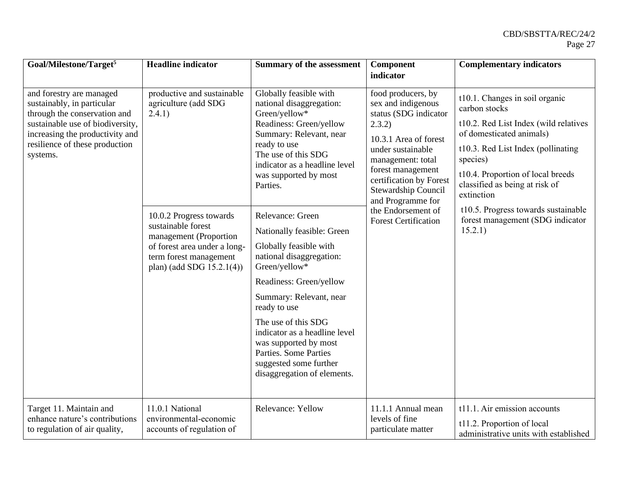| Goal/Milestone/Target <sup>5</sup>                                                                                                                                                                          | <b>Headline</b> indicator                                                                                                                                                                                                       | <b>Summary of the assessment</b>                                                                                                                                                                                                                                                                                                                                                                                                                                                                                                                                                                         | Component                                                                                                                                                                                                                                                                                       | <b>Complementary indicators</b>                                                                                                                                                                                                                                                                                                                   |
|-------------------------------------------------------------------------------------------------------------------------------------------------------------------------------------------------------------|---------------------------------------------------------------------------------------------------------------------------------------------------------------------------------------------------------------------------------|----------------------------------------------------------------------------------------------------------------------------------------------------------------------------------------------------------------------------------------------------------------------------------------------------------------------------------------------------------------------------------------------------------------------------------------------------------------------------------------------------------------------------------------------------------------------------------------------------------|-------------------------------------------------------------------------------------------------------------------------------------------------------------------------------------------------------------------------------------------------------------------------------------------------|---------------------------------------------------------------------------------------------------------------------------------------------------------------------------------------------------------------------------------------------------------------------------------------------------------------------------------------------------|
|                                                                                                                                                                                                             |                                                                                                                                                                                                                                 |                                                                                                                                                                                                                                                                                                                                                                                                                                                                                                                                                                                                          | indicator                                                                                                                                                                                                                                                                                       |                                                                                                                                                                                                                                                                                                                                                   |
| and forestry are managed<br>sustainably, in particular<br>through the conservation and<br>sustainable use of biodiversity,<br>increasing the productivity and<br>resilience of these production<br>systems. | productive and sustainable<br>agriculture (add SDG<br>(2.4.1)<br>10.0.2 Progress towards<br>sustainable forest<br>management (Proportion<br>of forest area under a long-<br>term forest management<br>plan) (add SDG 15.2.1(4)) | Globally feasible with<br>national disaggregation:<br>Green/yellow*<br>Readiness: Green/yellow<br>Summary: Relevant, near<br>ready to use<br>The use of this SDG<br>indicator as a headline level<br>was supported by most<br>Parties.<br>Relevance: Green<br>Nationally feasible: Green<br>Globally feasible with<br>national disaggregation:<br>Green/yellow*<br>Readiness: Green/yellow<br>Summary: Relevant, near<br>ready to use<br>The use of this SDG<br>indicator as a headline level<br>was supported by most<br>Parties. Some Parties<br>suggested some further<br>disaggregation of elements. | food producers, by<br>sex and indigenous<br>status (SDG indicator<br>2.3.2)<br>10.3.1 Area of forest<br>under sustainable<br>management: total<br>forest management<br>certification by Forest<br>Stewardship Council<br>and Programme for<br>the Endorsement of<br><b>Forest Certification</b> | t10.1. Changes in soil organic<br>carbon stocks<br>t10.2. Red List Index (wild relatives<br>of domesticated animals)<br>t10.3. Red List Index (pollinating<br>species)<br>t10.4. Proportion of local breeds<br>classified as being at risk of<br>extinction<br>t10.5. Progress towards sustainable<br>forest management (SDG indicator<br>15.2.1) |
| Target 11. Maintain and<br>enhance nature's contributions<br>to regulation of air quality,                                                                                                                  | 11.0.1 National<br>environmental-economic<br>accounts of regulation of                                                                                                                                                          | Relevance: Yellow                                                                                                                                                                                                                                                                                                                                                                                                                                                                                                                                                                                        | 11.1.1 Annual mean<br>levels of fine<br>particulate matter                                                                                                                                                                                                                                      | t11.1. Air emission accounts<br>t11.2. Proportion of local<br>administrative units with established                                                                                                                                                                                                                                               |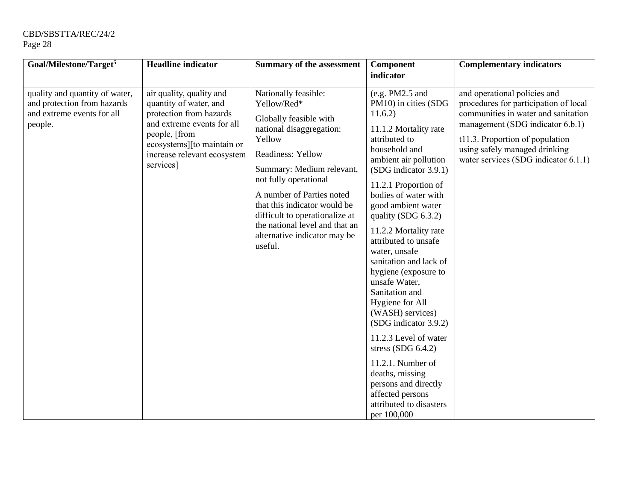| Goal/Milestone/Target <sup>5</sup>                                                                     | <b>Headline</b> indicator                                                                                                                                                                              | <b>Summary of the assessment</b>                                                                                                                                                                                                                                                                                                                           | Component                                                                                                                                                                                                                                                                                                                                                                                                                                                                                                                                                                                                                                                           | <b>Complementary indicators</b>                                                                                                                                                                                                                              |
|--------------------------------------------------------------------------------------------------------|--------------------------------------------------------------------------------------------------------------------------------------------------------------------------------------------------------|------------------------------------------------------------------------------------------------------------------------------------------------------------------------------------------------------------------------------------------------------------------------------------------------------------------------------------------------------------|---------------------------------------------------------------------------------------------------------------------------------------------------------------------------------------------------------------------------------------------------------------------------------------------------------------------------------------------------------------------------------------------------------------------------------------------------------------------------------------------------------------------------------------------------------------------------------------------------------------------------------------------------------------------|--------------------------------------------------------------------------------------------------------------------------------------------------------------------------------------------------------------------------------------------------------------|
|                                                                                                        |                                                                                                                                                                                                        |                                                                                                                                                                                                                                                                                                                                                            | indicator                                                                                                                                                                                                                                                                                                                                                                                                                                                                                                                                                                                                                                                           |                                                                                                                                                                                                                                                              |
| quality and quantity of water,<br>and protection from hazards<br>and extreme events for all<br>people. | air quality, quality and<br>quantity of water, and<br>protection from hazards<br>and extreme events for all<br>people, [from<br>ecosystems][to maintain or<br>increase relevant ecosystem<br>services] | Nationally feasible:<br>Yellow/Red*<br>Globally feasible with<br>national disaggregation:<br>Yellow<br>Readiness: Yellow<br>Summary: Medium relevant,<br>not fully operational<br>A number of Parties noted<br>that this indicator would be<br>difficult to operationalize at<br>the national level and that an<br>alternative indicator may be<br>useful. | (e.g. PM2.5 and<br>PM10) in cities (SDG<br>11.6.2)<br>11.1.2 Mortality rate<br>attributed to<br>household and<br>ambient air pollution<br>(SDG indicator 3.9.1)<br>11.2.1 Proportion of<br>bodies of water with<br>good ambient water<br>quality (SDG 6.3.2)<br>11.2.2 Mortality rate<br>attributed to unsafe<br>water, unsafe<br>sanitation and lack of<br>hygiene (exposure to<br>unsafe Water,<br>Sanitation and<br>Hygiene for All<br>(WASH) services)<br>(SDG indicator 3.9.2)<br>11.2.3 Level of water<br>stress (SDG $6.4.2$ )<br>11.2.1. Number of<br>deaths, missing<br>persons and directly<br>affected persons<br>attributed to disasters<br>per 100,000 | and operational policies and<br>procedures for participation of local<br>communities in water and sanitation<br>management (SDG indicator 6.b.1)<br>t11.3. Proportion of population<br>using safely managed drinking<br>water services (SDG indicator 6.1.1) |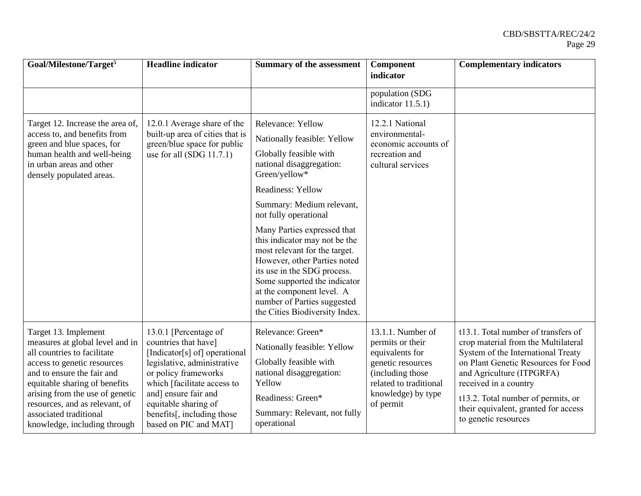| Goal/Milestone/Target <sup>5</sup>                                                                                                                                                                                                                                                                                  | <b>Headline</b> indicator                                                                                                                                                                                                                                                   | <b>Summary of the assessment</b>                                                                                                                                                                                                                                                           | Component<br>indicator                                                                                                                                            | <b>Complementary indicators</b>                                                                                                                                                                                                                                                                                     |
|---------------------------------------------------------------------------------------------------------------------------------------------------------------------------------------------------------------------------------------------------------------------------------------------------------------------|-----------------------------------------------------------------------------------------------------------------------------------------------------------------------------------------------------------------------------------------------------------------------------|--------------------------------------------------------------------------------------------------------------------------------------------------------------------------------------------------------------------------------------------------------------------------------------------|-------------------------------------------------------------------------------------------------------------------------------------------------------------------|---------------------------------------------------------------------------------------------------------------------------------------------------------------------------------------------------------------------------------------------------------------------------------------------------------------------|
|                                                                                                                                                                                                                                                                                                                     |                                                                                                                                                                                                                                                                             |                                                                                                                                                                                                                                                                                            | population (SDG<br>indicator $11.5.1$ )                                                                                                                           |                                                                                                                                                                                                                                                                                                                     |
| Target 12. Increase the area of,<br>access to, and benefits from<br>green and blue spaces, for<br>human health and well-being<br>in urban areas and other<br>densely populated areas.                                                                                                                               | 12.0.1 Average share of the<br>built-up area of cities that is<br>green/blue space for public<br>use for all $(SDG 11.7.1)$                                                                                                                                                 | <b>Relevance: Yellow</b><br>Nationally feasible: Yellow<br>Globally feasible with<br>national disaggregation:<br>Green/yellow*<br><b>Readiness: Yellow</b>                                                                                                                                 | 12.2.1 National<br>environmental-<br>economic accounts of<br>recreation and<br>cultural services                                                                  |                                                                                                                                                                                                                                                                                                                     |
|                                                                                                                                                                                                                                                                                                                     |                                                                                                                                                                                                                                                                             | Summary: Medium relevant,<br>not fully operational                                                                                                                                                                                                                                         |                                                                                                                                                                   |                                                                                                                                                                                                                                                                                                                     |
|                                                                                                                                                                                                                                                                                                                     |                                                                                                                                                                                                                                                                             | Many Parties expressed that<br>this indicator may not be the<br>most relevant for the target.<br>However, other Parties noted<br>its use in the SDG process.<br>Some supported the indicator<br>at the component level. A<br>number of Parties suggested<br>the Cities Biodiversity Index. |                                                                                                                                                                   |                                                                                                                                                                                                                                                                                                                     |
| Target 13. Implement<br>measures at global level and in<br>all countries to facilitate<br>access to genetic resources<br>and to ensure the fair and<br>equitable sharing of benefits<br>arising from the use of genetic<br>resources, and as relevant, of<br>associated traditional<br>knowledge, including through | 13.0.1 [Percentage of<br>countries that have]<br>[Indicator[s] of] operational<br>legislative, administrative<br>or policy frameworks<br>which [facilitate access to<br>and] ensure fair and<br>equitable sharing of<br>benefits[, including those<br>based on PIC and MAT] | Relevance: Green*<br>Nationally feasible: Yellow<br>Globally feasible with<br>national disaggregation:<br>Yellow<br>Readiness: Green*<br>Summary: Relevant, not fully<br>operational                                                                                                       | $13.1.1$ . Number of<br>permits or their<br>equivalents for<br>genetic resources<br>(including those<br>related to traditional<br>knowledge) by type<br>of permit | t13.1. Total number of transfers of<br>crop material from the Multilateral<br>System of the International Treaty<br>on Plant Genetic Resources for Food<br>and Agriculture (ITPGRFA)<br>received in a country<br>t13.2. Total number of permits, or<br>their equivalent, granted for access<br>to genetic resources |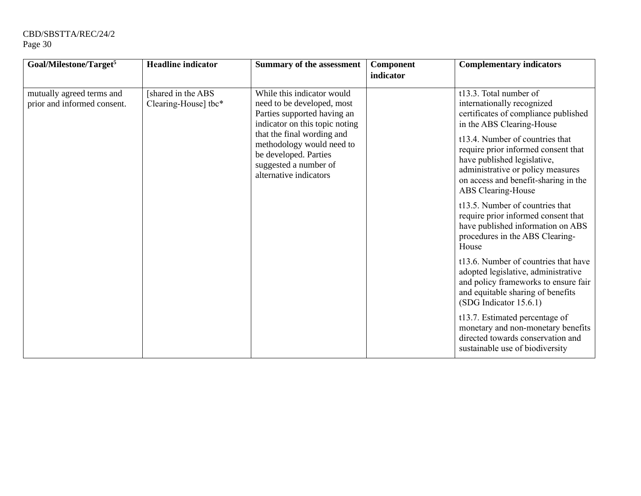| Goal/Milestone/Target <sup>5</sup>                       | <b>Headline</b> indicator                  | <b>Summary of the assessment</b>                                                                                                                                                                                                                                 | Component<br>indicator | <b>Complementary indicators</b>                                                                                                                                                                                                                                                                                                                                                                                                                                                                                                                                                                                                                                                                                                                                                                                                        |
|----------------------------------------------------------|--------------------------------------------|------------------------------------------------------------------------------------------------------------------------------------------------------------------------------------------------------------------------------------------------------------------|------------------------|----------------------------------------------------------------------------------------------------------------------------------------------------------------------------------------------------------------------------------------------------------------------------------------------------------------------------------------------------------------------------------------------------------------------------------------------------------------------------------------------------------------------------------------------------------------------------------------------------------------------------------------------------------------------------------------------------------------------------------------------------------------------------------------------------------------------------------------|
| mutually agreed terms and<br>prior and informed consent. | [shared in the ABS<br>Clearing-House] tbc* | While this indicator would<br>need to be developed, most<br>Parties supported having an<br>indicator on this topic noting<br>that the final wording and<br>methodology would need to<br>be developed. Parties<br>suggested a number of<br>alternative indicators |                        | t13.3. Total number of<br>internationally recognized<br>certificates of compliance published<br>in the ABS Clearing-House<br>t13.4. Number of countries that<br>require prior informed consent that<br>have published legislative,<br>administrative or policy measures<br>on access and benefit-sharing in the<br>ABS Clearing-House<br>t13.5. Number of countries that<br>require prior informed consent that<br>have published information on ABS<br>procedures in the ABS Clearing-<br>House<br>t13.6. Number of countries that have<br>adopted legislative, administrative<br>and policy frameworks to ensure fair<br>and equitable sharing of benefits<br>(SDG Indicator 15.6.1)<br>t13.7. Estimated percentage of<br>monetary and non-monetary benefits<br>directed towards conservation and<br>sustainable use of biodiversity |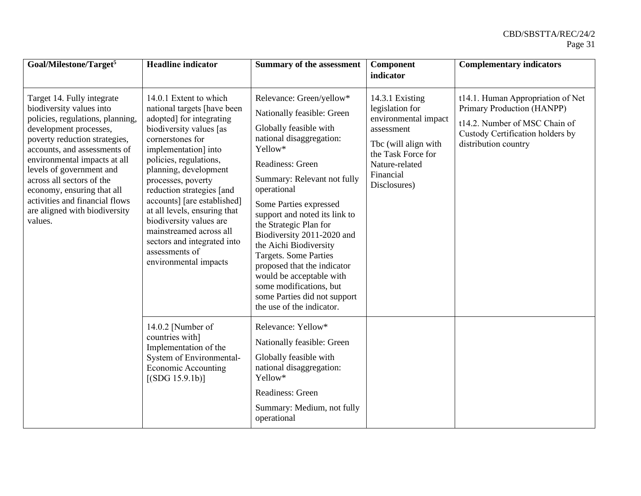| Goal/Milestone/Target <sup>5</sup>                                                                                                                                                                                                                                                                                                                                                         | <b>Headline</b> indicator                                                                                                                                                                                                                                                                                                                                                                                                                                     | <b>Summary of the assessment</b>                                                                                                                                                                                                                                                                                                                                                                                                                                                                                          | Component<br>indicator                                                                                                                                                | <b>Complementary indicators</b>                                                                                                                              |
|--------------------------------------------------------------------------------------------------------------------------------------------------------------------------------------------------------------------------------------------------------------------------------------------------------------------------------------------------------------------------------------------|---------------------------------------------------------------------------------------------------------------------------------------------------------------------------------------------------------------------------------------------------------------------------------------------------------------------------------------------------------------------------------------------------------------------------------------------------------------|---------------------------------------------------------------------------------------------------------------------------------------------------------------------------------------------------------------------------------------------------------------------------------------------------------------------------------------------------------------------------------------------------------------------------------------------------------------------------------------------------------------------------|-----------------------------------------------------------------------------------------------------------------------------------------------------------------------|--------------------------------------------------------------------------------------------------------------------------------------------------------------|
| Target 14. Fully integrate<br>biodiversity values into<br>policies, regulations, planning,<br>development processes,<br>poverty reduction strategies,<br>accounts, and assessments of<br>environmental impacts at all<br>levels of government and<br>across all sectors of the<br>economy, ensuring that all<br>activities and financial flows<br>are aligned with biodiversity<br>values. | 14.0.1 Extent to which<br>national targets [have been<br>adopted] for integrating<br>biodiversity values [as<br>cornerstones for<br>implementation] into<br>policies, regulations,<br>planning, development<br>processes, poverty<br>reduction strategies [and<br>accounts] [are established]<br>at all levels, ensuring that<br>biodiversity values are<br>mainstreamed across all<br>sectors and integrated into<br>assessments of<br>environmental impacts | Relevance: Green/yellow*<br>Nationally feasible: Green<br>Globally feasible with<br>national disaggregation:<br>Yellow*<br>Readiness: Green<br>Summary: Relevant not fully<br>operational<br>Some Parties expressed<br>support and noted its link to<br>the Strategic Plan for<br>Biodiversity 2011-2020 and<br>the Aichi Biodiversity<br><b>Targets. Some Parties</b><br>proposed that the indicator<br>would be acceptable with<br>some modifications, but<br>some Parties did not support<br>the use of the indicator. | 14.3.1 Existing<br>legislation for<br>environmental impact<br>assessment<br>Tbc (will align with<br>the Task Force for<br>Nature-related<br>Financial<br>Disclosures) | t14.1. Human Appropriation of Net<br>Primary Production (HANPP)<br>t14.2. Number of MSC Chain of<br>Custody Certification holders by<br>distribution country |
|                                                                                                                                                                                                                                                                                                                                                                                            | 14.0.2 [Number of<br>countries with]<br>Implementation of the<br>System of Environmental-<br><b>Economic Accounting</b><br>[(SDG 15.9.1b)]                                                                                                                                                                                                                                                                                                                    | Relevance: Yellow*<br>Nationally feasible: Green<br>Globally feasible with<br>national disaggregation:<br>Yellow*<br>Readiness: Green<br>Summary: Medium, not fully<br>operational                                                                                                                                                                                                                                                                                                                                        |                                                                                                                                                                       |                                                                                                                                                              |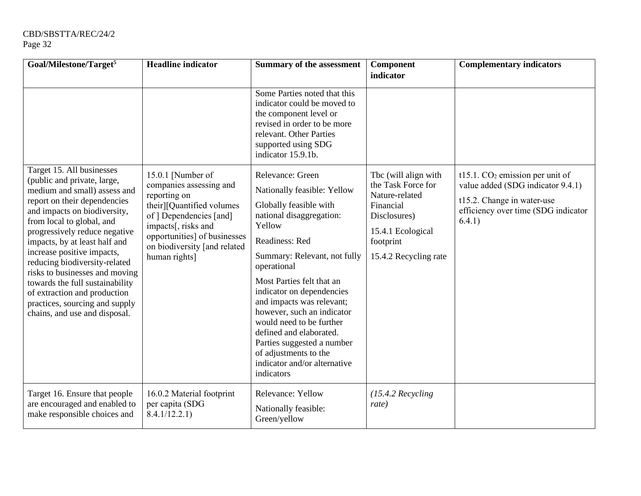| Goal/Milestone/Target <sup>5</sup>                                                                                                                                                                                                                                                                                                                                                                                                                                                             | <b>Headline indicator</b>                                                                                                                                                                                                    | <b>Summary of the assessment</b>                                                                                                                                                                                                                                                                                                                                                                                                                                  | Component<br>indicator                                                                                                                               | <b>Complementary indicators</b>                                                                                                                       |
|------------------------------------------------------------------------------------------------------------------------------------------------------------------------------------------------------------------------------------------------------------------------------------------------------------------------------------------------------------------------------------------------------------------------------------------------------------------------------------------------|------------------------------------------------------------------------------------------------------------------------------------------------------------------------------------------------------------------------------|-------------------------------------------------------------------------------------------------------------------------------------------------------------------------------------------------------------------------------------------------------------------------------------------------------------------------------------------------------------------------------------------------------------------------------------------------------------------|------------------------------------------------------------------------------------------------------------------------------------------------------|-------------------------------------------------------------------------------------------------------------------------------------------------------|
|                                                                                                                                                                                                                                                                                                                                                                                                                                                                                                |                                                                                                                                                                                                                              | Some Parties noted that this<br>indicator could be moved to<br>the component level or<br>revised in order to be more<br>relevant. Other Parties<br>supported using SDG<br>indicator 15.9.1b.                                                                                                                                                                                                                                                                      |                                                                                                                                                      |                                                                                                                                                       |
| Target 15. All businesses<br>(public and private, large,<br>medium and small) assess and<br>report on their dependencies<br>and impacts on biodiversity,<br>from local to global, and<br>progressively reduce negative<br>impacts, by at least half and<br>increase positive impacts,<br>reducing biodiversity-related<br>risks to businesses and moving<br>towards the full sustainability<br>of extraction and production<br>practices, sourcing and supply<br>chains, and use and disposal. | 15.0.1 [Number of<br>companies assessing and<br>reporting on<br>their][Quantified volumes<br>of ] Dependencies [and]<br>impacts[, risks and<br>opportunities] of businesses<br>on biodiversity [and related<br>human rights] | Relevance: Green<br>Nationally feasible: Yellow<br>Globally feasible with<br>national disaggregation:<br>Yellow<br>Readiness: Red<br>Summary: Relevant, not fully<br>operational<br>Most Parties felt that an<br>indicator on dependencies<br>and impacts was relevant;<br>however, such an indicator<br>would need to be further<br>defined and elaborated.<br>Parties suggested a number<br>of adjustments to the<br>indicator and/or alternative<br>indicators | Tbc (will align with<br>the Task Force for<br>Nature-related<br>Financial<br>Disclosures)<br>15.4.1 Ecological<br>footprint<br>15.4.2 Recycling rate | t15.1. $CO2$ emission per unit of<br>value added (SDG indicator 9.4.1)<br>t15.2. Change in water-use<br>efficiency over time (SDG indicator<br>6.4.1) |
| Target 16. Ensure that people<br>are encouraged and enabled to<br>make responsible choices and                                                                                                                                                                                                                                                                                                                                                                                                 | 16.0.2 Material footprint<br>per capita (SDG<br>8.4.1/12.2.1)                                                                                                                                                                | Relevance: Yellow<br>Nationally feasible:<br>Green/yellow                                                                                                                                                                                                                                                                                                                                                                                                         | $(15.4.2$ Recycling<br>rate)                                                                                                                         |                                                                                                                                                       |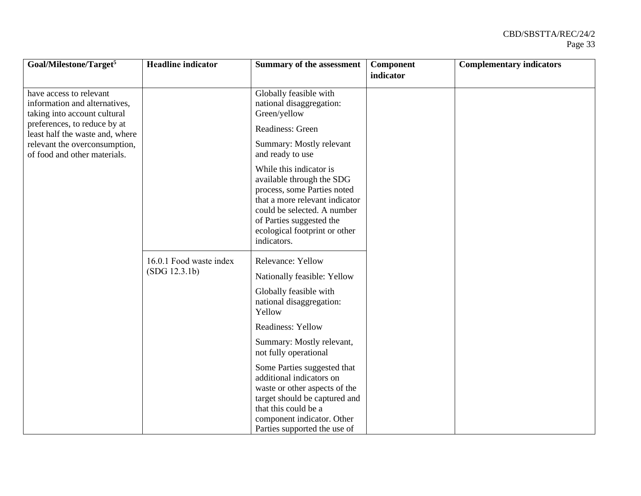| Goal/Milestone/Target <sup>5</sup>                                                                                                                          | <b>Headline</b> indicator | <b>Summary of the assessment</b>                                                                                                                                                                                                 | Component | <b>Complementary indicators</b> |
|-------------------------------------------------------------------------------------------------------------------------------------------------------------|---------------------------|----------------------------------------------------------------------------------------------------------------------------------------------------------------------------------------------------------------------------------|-----------|---------------------------------|
|                                                                                                                                                             |                           |                                                                                                                                                                                                                                  | indicator |                                 |
| have access to relevant<br>information and alternatives,<br>taking into account cultural<br>preferences, to reduce by at<br>least half the waste and, where |                           | Globally feasible with<br>national disaggregation:<br>Green/yellow<br>Readiness: Green                                                                                                                                           |           |                                 |
| relevant the overconsumption,<br>of food and other materials.                                                                                               |                           | Summary: Mostly relevant<br>and ready to use                                                                                                                                                                                     |           |                                 |
|                                                                                                                                                             |                           | While this indicator is<br>available through the SDG<br>process, some Parties noted<br>that a more relevant indicator<br>could be selected. A number<br>of Parties suggested the<br>ecological footprint or other<br>indicators. |           |                                 |
|                                                                                                                                                             | 16.0.1 Food waste index   | Relevance: Yellow                                                                                                                                                                                                                |           |                                 |
|                                                                                                                                                             | (SDG 12.3.1b)             | Nationally feasible: Yellow                                                                                                                                                                                                      |           |                                 |
|                                                                                                                                                             |                           | Globally feasible with<br>national disaggregation:<br>Yellow                                                                                                                                                                     |           |                                 |
|                                                                                                                                                             |                           | Readiness: Yellow                                                                                                                                                                                                                |           |                                 |
|                                                                                                                                                             |                           | Summary: Mostly relevant,<br>not fully operational                                                                                                                                                                               |           |                                 |
|                                                                                                                                                             |                           | Some Parties suggested that<br>additional indicators on<br>waste or other aspects of the<br>target should be captured and<br>that this could be a                                                                                |           |                                 |
|                                                                                                                                                             |                           | component indicator. Other<br>Parties supported the use of                                                                                                                                                                       |           |                                 |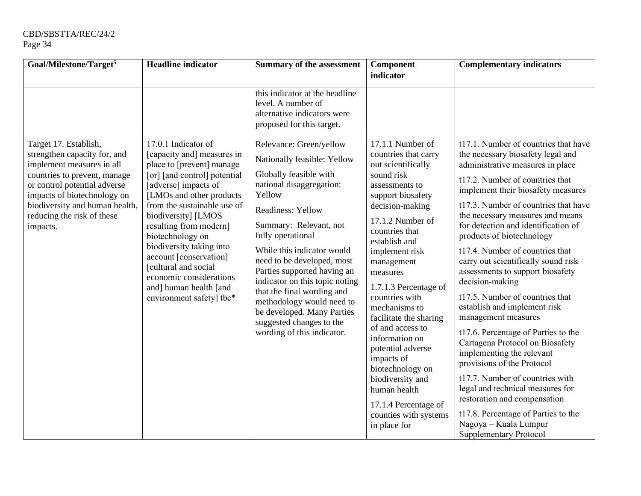| Goal/Milestone/Target <sup>5</sup>                                                                                                                                                                                                                            | <b>Headline</b> indicator                                                                                                                                                                                                                                                                                                                                                                                                              | <b>Summary of the assessment</b>                                                                                                                                                                                                                                                                                                                                                                                                                                                                       | Component<br>indicator                                                                                                                                                                                                                                                               | <b>Complementary indicators</b>                                                                                                                                                                                                                                                                                                                                                                                                                                                                                                            |
|---------------------------------------------------------------------------------------------------------------------------------------------------------------------------------------------------------------------------------------------------------------|----------------------------------------------------------------------------------------------------------------------------------------------------------------------------------------------------------------------------------------------------------------------------------------------------------------------------------------------------------------------------------------------------------------------------------------|--------------------------------------------------------------------------------------------------------------------------------------------------------------------------------------------------------------------------------------------------------------------------------------------------------------------------------------------------------------------------------------------------------------------------------------------------------------------------------------------------------|--------------------------------------------------------------------------------------------------------------------------------------------------------------------------------------------------------------------------------------------------------------------------------------|--------------------------------------------------------------------------------------------------------------------------------------------------------------------------------------------------------------------------------------------------------------------------------------------------------------------------------------------------------------------------------------------------------------------------------------------------------------------------------------------------------------------------------------------|
| Target 17. Establish,<br>strengthen capacity for, and<br>implement measures in all<br>countries to prevent, manage<br>or control potential adverse<br>impacts of biotechnology on<br>biodiversity and human health,<br>reducing the risk of these<br>impacts. | 17.0.1 Indicator of<br>[capacity and] measures in<br>place to [prevent] manage<br>[or] [and control] potential<br>[adverse] impacts of<br>[LMOs and other products]<br>from the sustainable use of<br>biodiversity] [LMOS<br>resulting from modern]<br>biotechnology on<br>biodiversity taking into<br>account [conservation]<br>[cultural and social<br>economic considerations<br>and] human health [and<br>environment safety] tbc* | this indicator at the headline<br>level. A number of<br>alternative indicators were<br>proposed for this target.<br>Relevance: Green/yellow<br>Nationally feasible: Yellow<br>Globally feasible with<br>national disaggregation:<br>Yellow<br>Readiness: Yellow<br>Summary: Relevant, not<br>fully operational<br>While this indicator would<br>need to be developed, most<br>Parties supported having an<br>indicator on this topic noting<br>that the final wording and<br>methodology would need to | 17.1.1 Number of<br>countries that carry<br>out scientifically<br>sound risk<br>assessments to<br>support biosafety<br>decision-making<br>17.1.2 Number of<br>countries that<br>establish and<br>implement risk<br>management<br>measures<br>1.7.1.3 Percentage of<br>countries with | t17.1. Number of countries that have<br>the necessary biosafety legal and<br>administrative measures in place<br>t17.2. Number of countries that<br>implement their biosafety measures<br>t17.3. Number of countries that have<br>the necessary measures and means<br>for detection and identification of<br>products of biotechnology<br>t17.4. Number of countries that<br>carry out scientifically sound risk<br>assessments to support biosafety<br>decision-making<br>t17.5. Number of countries that<br>establish and implement risk |
|                                                                                                                                                                                                                                                               |                                                                                                                                                                                                                                                                                                                                                                                                                                        | be developed. Many Parties<br>suggested changes to the<br>wording of this indicator.                                                                                                                                                                                                                                                                                                                                                                                                                   | mechanisms to<br>facilitate the sharing<br>of and access to<br>information on<br>potential adverse<br>impacts of<br>biotechnology on<br>biodiversity and<br>human health<br>17.1.4 Percentage of<br>counties with systems<br>in place for                                            | management measures<br>t17.6. Percentage of Parties to the<br>Cartagena Protocol on Biosafety<br>implementing the relevant<br>provisions of the Protocol<br>t17.7. Number of countries with<br>legal and technical measures for<br>restoration and compensation<br>t17.8. Percentage of Parties to the<br>Nagoya - Kuala Lumpur<br><b>Supplementary Protocol</b>                                                                                                                                                                           |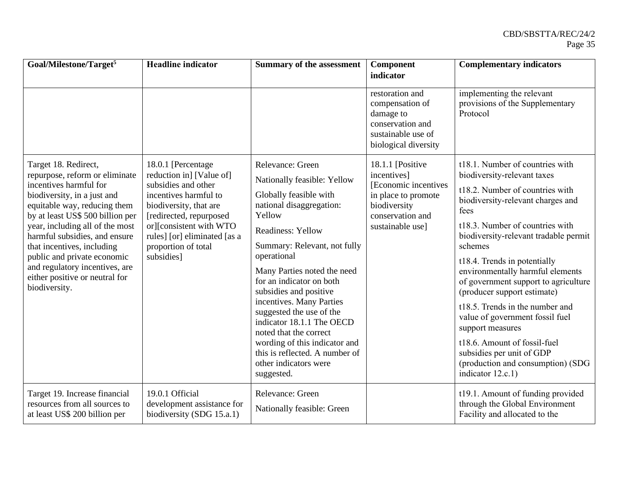| Goal/Milestone/Target <sup>5</sup>                                                                                                                                                                                                                                                                                    | <b>Headline</b> indicator                                                                                                                                                  | <b>Summary of the assessment</b>                                                                            | Component                                                                                                         | <b>Complementary indicators</b>                                                                                                         |
|-----------------------------------------------------------------------------------------------------------------------------------------------------------------------------------------------------------------------------------------------------------------------------------------------------------------------|----------------------------------------------------------------------------------------------------------------------------------------------------------------------------|-------------------------------------------------------------------------------------------------------------|-------------------------------------------------------------------------------------------------------------------|-----------------------------------------------------------------------------------------------------------------------------------------|
|                                                                                                                                                                                                                                                                                                                       |                                                                                                                                                                            |                                                                                                             | indicator                                                                                                         |                                                                                                                                         |
|                                                                                                                                                                                                                                                                                                                       |                                                                                                                                                                            |                                                                                                             | restoration and<br>compensation of<br>damage to<br>conservation and<br>sustainable use of<br>biological diversity | implementing the relevant<br>provisions of the Supplementary<br>Protocol                                                                |
| Target 18. Redirect,<br>repurpose, reform or eliminate<br>incentives harmful for                                                                                                                                                                                                                                      | 18.0.1 [Percentage<br>reduction in] [Value of]<br>subsidies and other                                                                                                      | Relevance: Green<br>Nationally feasible: Yellow                                                             | 18.1.1 [Positive<br>incentives]<br>[Economic incentives]                                                          | t18.1. Number of countries with<br>biodiversity-relevant taxes                                                                          |
| biodiversity, in a just and<br>equitable way, reducing them<br>by at least US\$ 500 billion per<br>year, including all of the most<br>harmful subsidies, and ensure<br>that incentives, including<br>public and private economic<br>and regulatory incentives, are<br>either positive or neutral for<br>biodiversity. | incentives harmful to<br>biodiversity, that are<br>[redirected, repurposed<br>or][consistent with WTO<br>rules] [or] eliminated [as a<br>proportion of total<br>subsidies] | Globally feasible with<br>national disaggregation:<br>Yellow                                                | in place to promote<br>biodiversity<br>conservation and                                                           | t18.2. Number of countries with<br>biodiversity-relevant charges and<br>fees                                                            |
|                                                                                                                                                                                                                                                                                                                       |                                                                                                                                                                            | <b>Readiness: Yellow</b><br>Summary: Relevant, not fully                                                    | sustainable use]                                                                                                  | t18.3. Number of countries with<br>biodiversity-relevant tradable permit<br>schemes                                                     |
|                                                                                                                                                                                                                                                                                                                       |                                                                                                                                                                            | operational<br>Many Parties noted the need<br>for an indicator on both<br>subsidies and positive            |                                                                                                                   | t18.4. Trends in potentially<br>environmentally harmful elements<br>of government support to agriculture<br>(producer support estimate) |
|                                                                                                                                                                                                                                                                                                                       |                                                                                                                                                                            | incentives. Many Parties<br>suggested the use of the<br>indicator 18.1.1 The OECD<br>noted that the correct |                                                                                                                   | t18.5. Trends in the number and<br>value of government fossil fuel<br>support measures                                                  |
|                                                                                                                                                                                                                                                                                                                       |                                                                                                                                                                            | wording of this indicator and<br>this is reflected. A number of<br>other indicators were<br>suggested.      |                                                                                                                   | t18.6. Amount of fossil-fuel<br>subsidies per unit of GDP<br>(production and consumption) (SDG<br>indicator 12.c.1)                     |
| Target 19. Increase financial<br>resources from all sources to<br>at least US\$ 200 billion per                                                                                                                                                                                                                       | 19.0.1 Official<br>development assistance for<br>biodiversity (SDG 15.a.1)                                                                                                 | Relevance: Green<br>Nationally feasible: Green                                                              |                                                                                                                   | t19.1. Amount of funding provided<br>through the Global Environment<br>Facility and allocated to the                                    |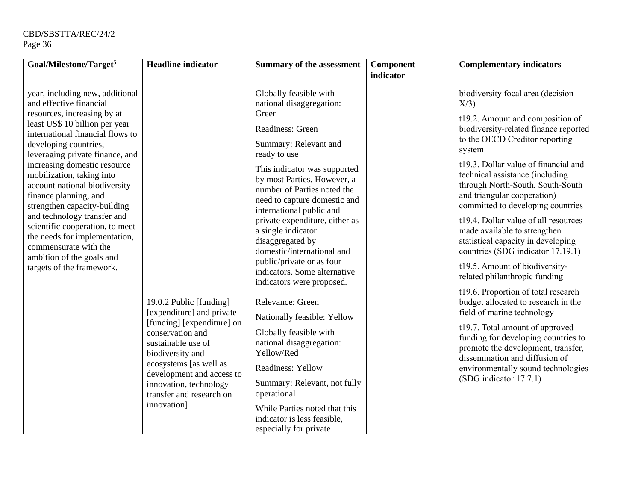| Goal/Milestone/Target <sup>5</sup>                                                                                                                                                                                                                                                                                                                                                                                                                                                                         | <b>Headline</b> indicator                                                                                                                                                              | <b>Summary of the assessment</b>                                                                                                                                                                                                                                                     | Component | <b>Complementary indicators</b>                                                                                                                                                                                                                                                                                                                                                  |
|------------------------------------------------------------------------------------------------------------------------------------------------------------------------------------------------------------------------------------------------------------------------------------------------------------------------------------------------------------------------------------------------------------------------------------------------------------------------------------------------------------|----------------------------------------------------------------------------------------------------------------------------------------------------------------------------------------|--------------------------------------------------------------------------------------------------------------------------------------------------------------------------------------------------------------------------------------------------------------------------------------|-----------|----------------------------------------------------------------------------------------------------------------------------------------------------------------------------------------------------------------------------------------------------------------------------------------------------------------------------------------------------------------------------------|
|                                                                                                                                                                                                                                                                                                                                                                                                                                                                                                            |                                                                                                                                                                                        |                                                                                                                                                                                                                                                                                      | indicator |                                                                                                                                                                                                                                                                                                                                                                                  |
| year, including new, additional<br>and effective financial                                                                                                                                                                                                                                                                                                                                                                                                                                                 | 19.0.2 Public [funding]<br>[expenditure] and private<br>[funding] [expenditure] on                                                                                                     | Globally feasible with<br>national disaggregation:                                                                                                                                                                                                                                   |           | biodiversity focal area (decision<br>X/3                                                                                                                                                                                                                                                                                                                                         |
| resources, increasing by at<br>least US\$ 10 billion per year<br>international financial flows to<br>developing countries,<br>leveraging private finance, and<br>increasing domestic resource<br>mobilization, taking into<br>account national biodiversity<br>finance planning, and<br>strengthen capacity-building<br>and technology transfer and<br>scientific cooperation, to meet<br>the needs for implementation,<br>commensurate with the<br>ambition of the goals and<br>targets of the framework. |                                                                                                                                                                                        | Green<br>Readiness: Green<br>Summary: Relevant and<br>ready to use<br>This indicator was supported<br>by most Parties. However, a<br>number of Parties noted the<br>need to capture domestic and<br>international public and<br>private expenditure, either as<br>a single indicator |           | t19.2. Amount and composition of<br>biodiversity-related finance reported<br>to the OECD Creditor reporting<br>system<br>t19.3. Dollar value of financial and<br>technical assistance (including<br>through North-South, South-South<br>and triangular cooperation)<br>committed to developing countries<br>t19.4. Dollar value of all resources<br>made available to strengthen |
|                                                                                                                                                                                                                                                                                                                                                                                                                                                                                                            |                                                                                                                                                                                        | disaggregated by<br>domestic/international and<br>public/private or as four<br>indicators. Some alternative<br>indicators were proposed.                                                                                                                                             |           | statistical capacity in developing<br>countries (SDG indicator 17.19.1)<br>t19.5. Amount of biodiversity-<br>related philanthropic funding<br>t19.6. Proportion of total research                                                                                                                                                                                                |
|                                                                                                                                                                                                                                                                                                                                                                                                                                                                                                            |                                                                                                                                                                                        | Relevance: Green<br>Nationally feasible: Yellow                                                                                                                                                                                                                                      |           | budget allocated to research in the<br>field of marine technology                                                                                                                                                                                                                                                                                                                |
|                                                                                                                                                                                                                                                                                                                                                                                                                                                                                                            | conservation and<br>sustainable use of<br>biodiversity and<br>ecosystems [as well as<br>development and access to<br>innovation, technology<br>transfer and research on<br>innovation] | Globally feasible with<br>national disaggregation:<br>Yellow/Red<br><b>Readiness: Yellow</b><br>Summary: Relevant, not fully<br>operational<br>While Parties noted that this<br>indicator is less feasible,<br>especially for private                                                |           | t19.7. Total amount of approved<br>funding for developing countries to<br>promote the development, transfer,<br>dissemination and diffusion of<br>environmentally sound technologies<br>(SDG indicator 17.7.1)                                                                                                                                                                   |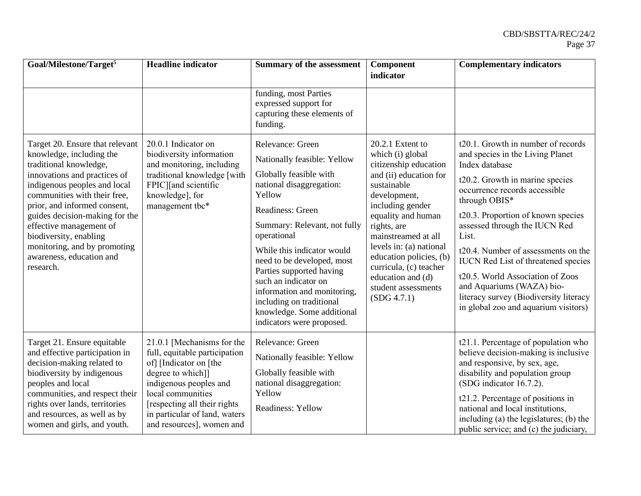| Goal/Milestone/Target <sup>5</sup>                                                                                                                                                                                                                                                                                                                                                    | <b>Headline</b> indicator                                                                                                                                                                                                                                | <b>Summary of the assessment</b>                                                                                                                                                                                                                                                                                                                                                                                         | Component<br>indicator                                                                                                                                                                                                                                                                                                                            | <b>Complementary indicators</b>                                                                                                                                                                                                                                                                                                                                                                                                                                                                       |
|---------------------------------------------------------------------------------------------------------------------------------------------------------------------------------------------------------------------------------------------------------------------------------------------------------------------------------------------------------------------------------------|----------------------------------------------------------------------------------------------------------------------------------------------------------------------------------------------------------------------------------------------------------|--------------------------------------------------------------------------------------------------------------------------------------------------------------------------------------------------------------------------------------------------------------------------------------------------------------------------------------------------------------------------------------------------------------------------|---------------------------------------------------------------------------------------------------------------------------------------------------------------------------------------------------------------------------------------------------------------------------------------------------------------------------------------------------|-------------------------------------------------------------------------------------------------------------------------------------------------------------------------------------------------------------------------------------------------------------------------------------------------------------------------------------------------------------------------------------------------------------------------------------------------------------------------------------------------------|
|                                                                                                                                                                                                                                                                                                                                                                                       |                                                                                                                                                                                                                                                          | funding, most Parties<br>expressed support for<br>capturing these elements of<br>funding.                                                                                                                                                                                                                                                                                                                                |                                                                                                                                                                                                                                                                                                                                                   |                                                                                                                                                                                                                                                                                                                                                                                                                                                                                                       |
| Target 20. Ensure that relevant<br>knowledge, including the<br>traditional knowledge,<br>innovations and practices of<br>indigenous peoples and local<br>communities with their free,<br>prior, and informed consent,<br>guides decision-making for the<br>effective management of<br>biodiversity, enabling<br>monitoring, and by promoting<br>awareness, education and<br>research. | 20.0.1 Indicator on<br>biodiversity information<br>and monitoring, including<br>traditional knowledge [with<br>FPIC][and scientific<br>knowledge], for<br>management tbc*                                                                                | Relevance: Green<br>Nationally feasible: Yellow<br>Globally feasible with<br>national disaggregation:<br>Yellow<br>Readiness: Green<br>Summary: Relevant, not fully<br>operational<br>While this indicator would<br>need to be developed, most<br>Parties supported having<br>such an indicator on<br>information and monitoring,<br>including on traditional<br>knowledge. Some additional<br>indicators were proposed. | 20.2.1 Extent to<br>which (i) global<br>citizenship education<br>and (ii) education for<br>sustainable<br>development,<br>including gender<br>equality and human<br>rights, are<br>mainstreamed at all<br>levels in: (a) national<br>education policies, (b)<br>curricula, (c) teacher<br>education and (d)<br>student assessments<br>(SDG 4.7.1) | t20.1. Growth in number of records<br>and species in the Living Planet<br>Index database<br>t20.2. Growth in marine species<br>occurrence records accessible<br>through OBIS*<br>t20.3. Proportion of known species<br>assessed through the IUCN Red<br>List.<br>t20.4. Number of assessments on the<br><b>IUCN</b> Red List of threatened species<br>t20.5. World Association of Zoos<br>and Aquariums (WAZA) bio-<br>literacy survey (Biodiversity literacy<br>in global zoo and aquarium visitors) |
| Target 21. Ensure equitable<br>and effective participation in<br>decision-making related to<br>biodiversity by indigenous<br>peoples and local<br>communities, and respect their<br>rights over lands, territories<br>and resources, as well as by<br>women and girls, and youth.                                                                                                     | 21.0.1 [Mechanisms for the<br>full, equitable participation<br>of] [Indicator on [the<br>degree to which]]<br>indigenous peoples and<br>local communities<br>[respecting all their rights]<br>in particular of land, waters<br>and resources], women and | Relevance: Green<br>Nationally feasible: Yellow<br>Globally feasible with<br>national disaggregation:<br>Yellow<br>Readiness: Yellow                                                                                                                                                                                                                                                                                     |                                                                                                                                                                                                                                                                                                                                                   | t21.1. Percentage of population who<br>believe decision-making is inclusive<br>and responsive, by sex, age,<br>disability and population group<br>(SDG indicator 16.7.2).<br>t21.2. Percentage of positions in<br>national and local institutions,<br>including (a) the legislatures; (b) the<br>public service; and (c) the judiciary,                                                                                                                                                               |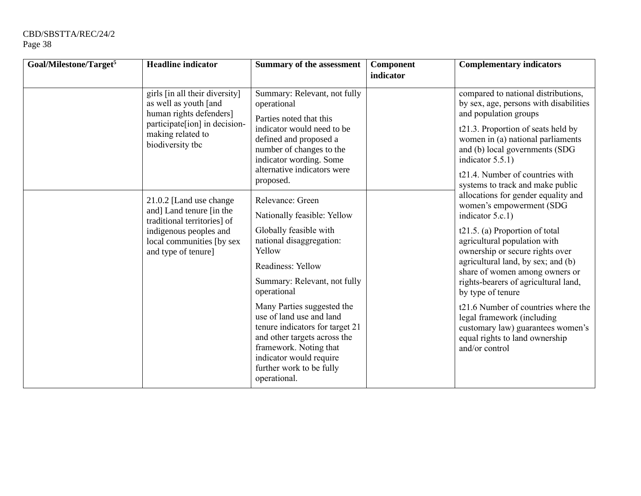| Goal/Milestone/Target <sup>5</sup> | <b>Headline</b> indicator                                                                                                                                    | <b>Summary of the assessment</b>                                                                                                                                                                                           | Component | <b>Complementary indicators</b>                                                                                                                                                                                                         |
|------------------------------------|--------------------------------------------------------------------------------------------------------------------------------------------------------------|----------------------------------------------------------------------------------------------------------------------------------------------------------------------------------------------------------------------------|-----------|-----------------------------------------------------------------------------------------------------------------------------------------------------------------------------------------------------------------------------------------|
|                                    |                                                                                                                                                              |                                                                                                                                                                                                                            | indicator |                                                                                                                                                                                                                                         |
|                                    | girls [in all their diversity]<br>as well as youth [and<br>human rights defenders]<br>participate[ion] in decision-<br>making related to<br>biodiversity tbc | Summary: Relevant, not fully<br>operational<br>Parties noted that this<br>indicator would need to be<br>defined and proposed a<br>number of changes to the<br>indicator wording. Some<br>alternative indicators were       |           | compared to national distributions,<br>by sex, age, persons with disabilities<br>and population groups<br>t21.3. Proportion of seats held by<br>women in (a) national parliaments<br>and (b) local governments (SDG<br>indicator 5.5.1) |
|                                    |                                                                                                                                                              | proposed.                                                                                                                                                                                                                  |           | t21.4. Number of countries with<br>systems to track and make public                                                                                                                                                                     |
|                                    | 21.0.2 [Land use change<br>and] Land tenure [in the<br>traditional territories] of                                                                           | Relevance: Green<br>Nationally feasible: Yellow                                                                                                                                                                            |           | allocations for gender equality and<br>women's empowerment (SDG<br>indicator 5.c.1)                                                                                                                                                     |
|                                    | indigenous peoples and<br>local communities [by sex<br>and type of tenure]                                                                                   | Globally feasible with<br>national disaggregation:<br>Yellow                                                                                                                                                               |           | t21.5. (a) Proportion of total<br>agricultural population with<br>ownership or secure rights over                                                                                                                                       |
|                                    |                                                                                                                                                              | Readiness: Yellow                                                                                                                                                                                                          |           | agricultural land, by sex; and (b)<br>share of women among owners or                                                                                                                                                                    |
|                                    |                                                                                                                                                              | Summary: Relevant, not fully<br>operational                                                                                                                                                                                |           | rights-bearers of agricultural land,<br>by type of tenure                                                                                                                                                                               |
|                                    |                                                                                                                                                              | Many Parties suggested the<br>use of land use and land<br>tenure indicators for target 21<br>and other targets across the<br>framework. Noting that<br>indicator would require<br>further work to be fully<br>operational. |           | t21.6 Number of countries where the<br>legal framework (including<br>customary law) guarantees women's<br>equal rights to land ownership<br>and/or control                                                                              |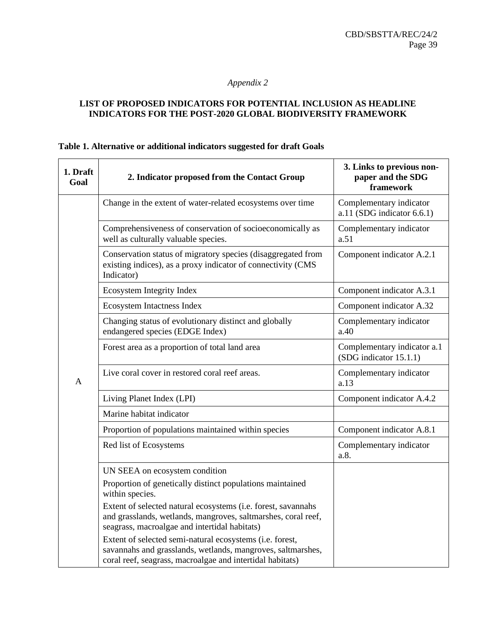# *Appendix 2*

#### **LIST OF PROPOSED INDICATORS FOR POTENTIAL INCLUSION AS HEADLINE INDICATORS FOR THE POST-2020 GLOBAL BIODIVERSITY FRAMEWORK**

#### **Table 1. Alternative or additional indicators suggested for draft Goals**

| 1. Draft<br>Goal | 2. Indicator proposed from the Contact Group                                                                                                                                         | 3. Links to previous non-<br>paper and the SDG<br>framework |
|------------------|--------------------------------------------------------------------------------------------------------------------------------------------------------------------------------------|-------------------------------------------------------------|
|                  | Change in the extent of water-related ecosystems over time                                                                                                                           | Complementary indicator<br>a.11 (SDG indicator $6.6.1$ )    |
|                  | Comprehensiveness of conservation of socioeconomically as<br>well as culturally valuable species.                                                                                    | Complementary indicator<br>a.51                             |
|                  | Conservation status of migratory species (disaggregated from<br>existing indices), as a proxy indicator of connectivity (CMS<br>Indicator)                                           | Component indicator A.2.1                                   |
|                  | Ecosystem Integrity Index                                                                                                                                                            | Component indicator A.3.1                                   |
|                  | Ecosystem Intactness Index                                                                                                                                                           | Component indicator A.32                                    |
|                  | Changing status of evolutionary distinct and globally<br>endangered species (EDGE Index)                                                                                             | Complementary indicator<br>a.40                             |
|                  | Forest area as a proportion of total land area                                                                                                                                       | Complementary indicator a.1<br>(SDG indicator 15.1.1)       |
| $\mathbf{A}$     | Live coral cover in restored coral reef areas.                                                                                                                                       | Complementary indicator<br>a.13                             |
|                  | Living Planet Index (LPI)                                                                                                                                                            | Component indicator A.4.2                                   |
|                  | Marine habitat indicator                                                                                                                                                             |                                                             |
|                  | Proportion of populations maintained within species                                                                                                                                  | Component indicator A.8.1                                   |
|                  | Red list of Ecosystems                                                                                                                                                               | Complementary indicator<br>a.8.                             |
|                  | UN SEEA on ecosystem condition                                                                                                                                                       |                                                             |
|                  | Proportion of genetically distinct populations maintained<br>within species.                                                                                                         |                                                             |
|                  | Extent of selected natural ecosystems (i.e. forest, savannahs<br>and grasslands, wetlands, mangroves, saltmarshes, coral reef,<br>seagrass, macroalgae and intertidal habitats)      |                                                             |
|                  | Extent of selected semi-natural ecosystems (i.e. forest,<br>savannahs and grasslands, wetlands, mangroves, saltmarshes,<br>coral reef, seagrass, macroalgae and intertidal habitats) |                                                             |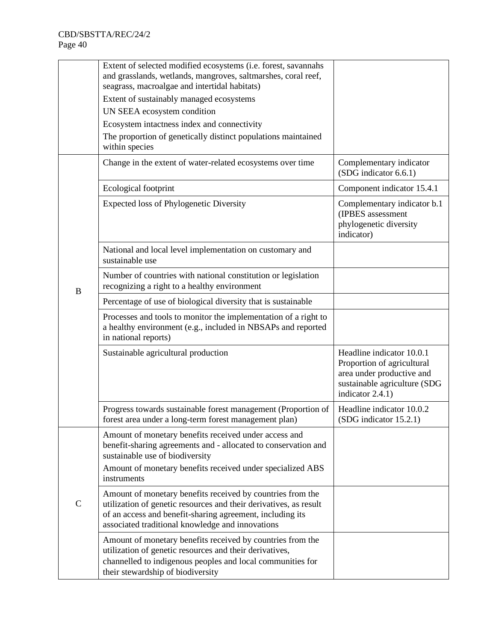|              | Extent of selected modified ecosystems (i.e. forest, savannahs<br>and grasslands, wetlands, mangroves, saltmarshes, coral reef,<br>seagrass, macroalgae and intertidal habitats)<br>Extent of sustainably managed ecosystems<br>UN SEEA ecosystem condition<br>Ecosystem intactness index and connectivity<br>The proportion of genetically distinct populations maintained<br>within species |                                                                                                                                          |
|--------------|-----------------------------------------------------------------------------------------------------------------------------------------------------------------------------------------------------------------------------------------------------------------------------------------------------------------------------------------------------------------------------------------------|------------------------------------------------------------------------------------------------------------------------------------------|
|              | Change in the extent of water-related ecosystems over time                                                                                                                                                                                                                                                                                                                                    | Complementary indicator<br>(SDG indicator 6.6.1)                                                                                         |
|              | Ecological footprint                                                                                                                                                                                                                                                                                                                                                                          | Component indicator 15.4.1                                                                                                               |
|              | <b>Expected loss of Phylogenetic Diversity</b>                                                                                                                                                                                                                                                                                                                                                | Complementary indicator b.1<br>(IPBES assessment<br>phylogenetic diversity<br>indicator)                                                 |
|              | National and local level implementation on customary and<br>sustainable use                                                                                                                                                                                                                                                                                                                   |                                                                                                                                          |
| $\, {\bf B}$ | Number of countries with national constitution or legislation<br>recognizing a right to a healthy environment                                                                                                                                                                                                                                                                                 |                                                                                                                                          |
|              | Percentage of use of biological diversity that is sustainable                                                                                                                                                                                                                                                                                                                                 |                                                                                                                                          |
|              | Processes and tools to monitor the implementation of a right to<br>a healthy environment (e.g., included in NBSAPs and reported<br>in national reports)                                                                                                                                                                                                                                       |                                                                                                                                          |
|              | Sustainable agricultural production                                                                                                                                                                                                                                                                                                                                                           | Headline indicator 10.0.1<br>Proportion of agricultural<br>area under productive and<br>sustainable agriculture (SDG<br>indicator 2.4.1) |
|              | Progress towards sustainable forest management (Proportion of<br>forest area under a long-term forest management plan)                                                                                                                                                                                                                                                                        | Headline indicator 10.0.2<br>$(SDG$ indicator $15.2.1)$                                                                                  |
|              | Amount of monetary benefits received under access and<br>benefit-sharing agreements and - allocated to conservation and<br>sustainable use of biodiversity                                                                                                                                                                                                                                    |                                                                                                                                          |
| $\mathsf{C}$ | Amount of monetary benefits received under specialized ABS<br>instruments                                                                                                                                                                                                                                                                                                                     |                                                                                                                                          |
|              | Amount of monetary benefits received by countries from the<br>utilization of genetic resources and their derivatives, as result<br>of an access and benefit-sharing agreement, including its<br>associated traditional knowledge and innovations                                                                                                                                              |                                                                                                                                          |
|              | Amount of monetary benefits received by countries from the<br>utilization of genetic resources and their derivatives,<br>channelled to indigenous peoples and local communities for<br>their stewardship of biodiversity                                                                                                                                                                      |                                                                                                                                          |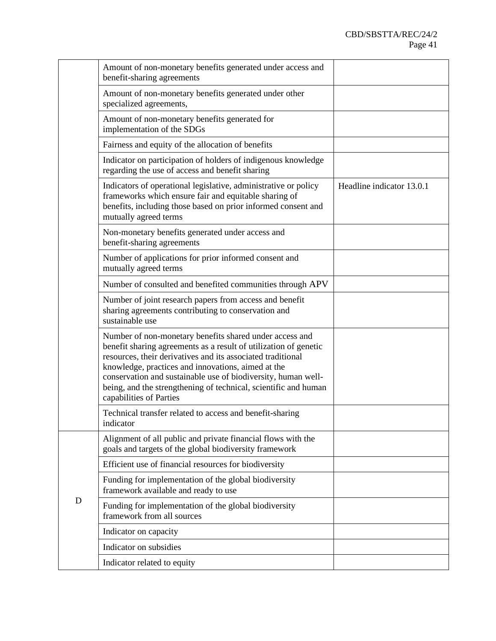|   | Amount of non-monetary benefits generated under access and<br>benefit-sharing agreements                                                                                                                                                                                                                                                                                                                        |                           |
|---|-----------------------------------------------------------------------------------------------------------------------------------------------------------------------------------------------------------------------------------------------------------------------------------------------------------------------------------------------------------------------------------------------------------------|---------------------------|
|   | Amount of non-monetary benefits generated under other<br>specialized agreements,                                                                                                                                                                                                                                                                                                                                |                           |
|   | Amount of non-monetary benefits generated for<br>implementation of the SDGs                                                                                                                                                                                                                                                                                                                                     |                           |
|   | Fairness and equity of the allocation of benefits                                                                                                                                                                                                                                                                                                                                                               |                           |
|   | Indicator on participation of holders of indigenous knowledge<br>regarding the use of access and benefit sharing                                                                                                                                                                                                                                                                                                |                           |
|   | Indicators of operational legislative, administrative or policy<br>frameworks which ensure fair and equitable sharing of<br>benefits, including those based on prior informed consent and<br>mutually agreed terms                                                                                                                                                                                              | Headline indicator 13.0.1 |
|   | Non-monetary benefits generated under access and<br>benefit-sharing agreements                                                                                                                                                                                                                                                                                                                                  |                           |
|   | Number of applications for prior informed consent and<br>mutually agreed terms                                                                                                                                                                                                                                                                                                                                  |                           |
|   | Number of consulted and benefited communities through APV                                                                                                                                                                                                                                                                                                                                                       |                           |
|   | Number of joint research papers from access and benefit<br>sharing agreements contributing to conservation and<br>sustainable use                                                                                                                                                                                                                                                                               |                           |
|   | Number of non-monetary benefits shared under access and<br>benefit sharing agreements as a result of utilization of genetic<br>resources, their derivatives and its associated traditional<br>knowledge, practices and innovations, aimed at the<br>conservation and sustainable use of biodiversity, human well-<br>being, and the strengthening of technical, scientific and human<br>capabilities of Parties |                           |
|   | Technical transfer related to access and benefit-sharing<br>indicator                                                                                                                                                                                                                                                                                                                                           |                           |
|   | Alignment of all public and private financial flows with the<br>goals and targets of the global biodiversity framework                                                                                                                                                                                                                                                                                          |                           |
|   | Efficient use of financial resources for biodiversity                                                                                                                                                                                                                                                                                                                                                           |                           |
|   | Funding for implementation of the global biodiversity<br>framework available and ready to use                                                                                                                                                                                                                                                                                                                   |                           |
| D | Funding for implementation of the global biodiversity<br>framework from all sources                                                                                                                                                                                                                                                                                                                             |                           |
|   | Indicator on capacity                                                                                                                                                                                                                                                                                                                                                                                           |                           |
|   | Indicator on subsidies                                                                                                                                                                                                                                                                                                                                                                                          |                           |
|   | Indicator related to equity                                                                                                                                                                                                                                                                                                                                                                                     |                           |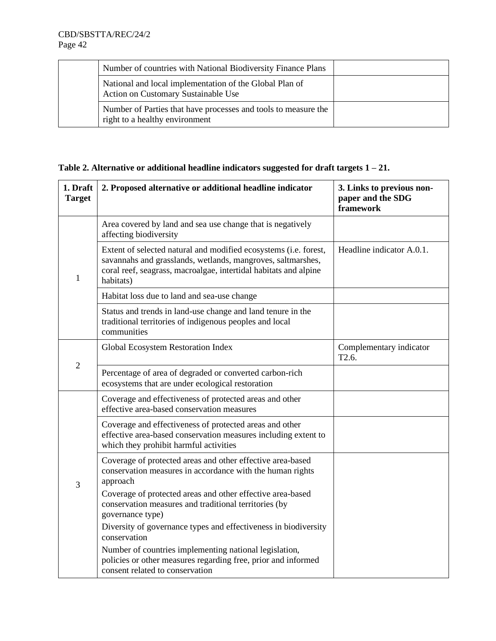|  | Number of countries with National Biodiversity Finance Plans                                     |  |
|--|--------------------------------------------------------------------------------------------------|--|
|  | National and local implementation of the Global Plan of<br>Action on Customary Sustainable Use   |  |
|  | Number of Parties that have processes and tools to measure the<br>right to a healthy environment |  |

|  | Table 2. Alternative or additional headline indicators suggested for draft targets $1 - 21$ . |  |  |
|--|-----------------------------------------------------------------------------------------------|--|--|
|  |                                                                                               |  |  |

| 1. Draft<br><b>Target</b> | 2. Proposed alternative or additional headline indicator                                                                                                                                                         | 3. Links to previous non-<br>paper and the SDG<br>framework |
|---------------------------|------------------------------------------------------------------------------------------------------------------------------------------------------------------------------------------------------------------|-------------------------------------------------------------|
|                           | Area covered by land and sea use change that is negatively<br>affecting biodiversity                                                                                                                             |                                                             |
| 1                         | Extent of selected natural and modified ecosystems (i.e. forest,<br>savannahs and grasslands, wetlands, mangroves, saltmarshes,<br>coral reef, seagrass, macroalgae, intertidal habitats and alpine<br>habitats) | Headline indicator A.0.1.                                   |
|                           | Habitat loss due to land and sea-use change                                                                                                                                                                      |                                                             |
|                           | Status and trends in land-use change and land tenure in the<br>traditional territories of indigenous peoples and local<br>communities                                                                            |                                                             |
| $\overline{2}$            | Global Ecosystem Restoration Index                                                                                                                                                                               | Complementary indicator<br>T <sub>2.6</sub> .               |
|                           | Percentage of area of degraded or converted carbon-rich<br>ecosystems that are under ecological restoration                                                                                                      |                                                             |
|                           | Coverage and effectiveness of protected areas and other<br>effective area-based conservation measures                                                                                                            |                                                             |
|                           | Coverage and effectiveness of protected areas and other<br>effective area-based conservation measures including extent to<br>which they prohibit harmful activities                                              |                                                             |
| 3                         | Coverage of protected areas and other effective area-based<br>conservation measures in accordance with the human rights<br>approach                                                                              |                                                             |
|                           | Coverage of protected areas and other effective area-based<br>conservation measures and traditional territories (by<br>governance type)                                                                          |                                                             |
|                           | Diversity of governance types and effectiveness in biodiversity<br>conservation                                                                                                                                  |                                                             |
|                           | Number of countries implementing national legislation,<br>policies or other measures regarding free, prior and informed<br>consent related to conservation                                                       |                                                             |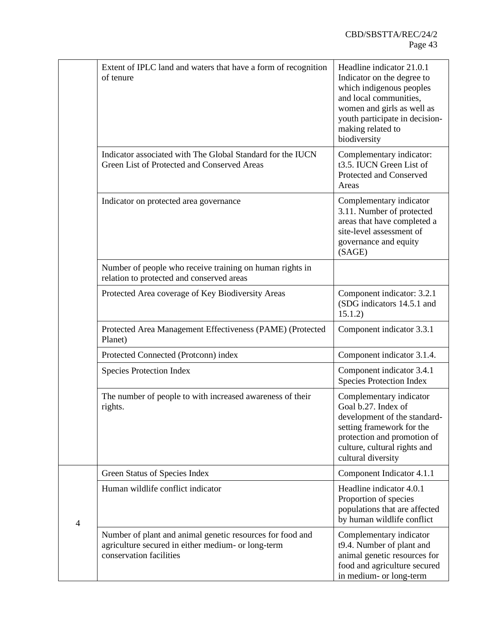|   | Extent of IPLC land and waters that have a form of recognition<br>of tenure                                                                | Headline indicator 21.0.1<br>Indicator on the degree to<br>which indigenous peoples<br>and local communities,<br>women and girls as well as<br>youth participate in decision-<br>making related to<br>biodiversity |
|---|--------------------------------------------------------------------------------------------------------------------------------------------|--------------------------------------------------------------------------------------------------------------------------------------------------------------------------------------------------------------------|
|   | Indicator associated with The Global Standard for the IUCN<br>Green List of Protected and Conserved Areas                                  | Complementary indicator:<br>t3.5. IUCN Green List of<br>Protected and Conserved<br>Areas                                                                                                                           |
|   | Indicator on protected area governance                                                                                                     | Complementary indicator<br>3.11. Number of protected<br>areas that have completed a<br>site-level assessment of<br>governance and equity<br>(SAGE)                                                                 |
|   | Number of people who receive training on human rights in<br>relation to protected and conserved areas                                      |                                                                                                                                                                                                                    |
|   | Protected Area coverage of Key Biodiversity Areas                                                                                          | Component indicator: 3.2.1<br>(SDG indicators 14.5.1 and<br>15.1.2)                                                                                                                                                |
|   | Protected Area Management Effectiveness (PAME) (Protected<br>Planet)                                                                       | Component indicator 3.3.1                                                                                                                                                                                          |
|   | Protected Connected (Protconn) index                                                                                                       | Component indicator 3.1.4.                                                                                                                                                                                         |
|   | <b>Species Protection Index</b>                                                                                                            | Component indicator 3.4.1<br><b>Species Protection Index</b>                                                                                                                                                       |
|   | The number of people to with increased awareness of their<br>rights.                                                                       | Complementary indicator<br>Goal b.27. Index of<br>development of the standard-<br>setting framework for the<br>protection and promotion of<br>culture, cultural rights and<br>cultural diversity                   |
|   | Green Status of Species Index                                                                                                              | Component Indicator 4.1.1                                                                                                                                                                                          |
| 4 | Human wildlife conflict indicator                                                                                                          | Headline indicator 4.0.1<br>Proportion of species<br>populations that are affected<br>by human wildlife conflict                                                                                                   |
|   | Number of plant and animal genetic resources for food and<br>agriculture secured in either medium- or long-term<br>conservation facilities | Complementary indicator<br>t9.4. Number of plant and<br>animal genetic resources for<br>food and agriculture secured<br>in medium- or long-term                                                                    |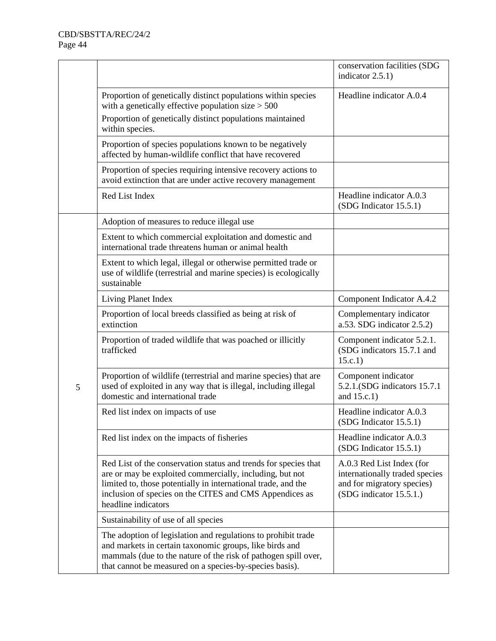|   |                                                                                                                                                                                                                                                                                | conservation facilities (SDG<br>indicator 2.5.1)                                                                     |
|---|--------------------------------------------------------------------------------------------------------------------------------------------------------------------------------------------------------------------------------------------------------------------------------|----------------------------------------------------------------------------------------------------------------------|
|   | Proportion of genetically distinct populations within species<br>with a genetically effective population size $> 500$<br>Proportion of genetically distinct populations maintained<br>within species.                                                                          | Headline indicator A.0.4                                                                                             |
|   | Proportion of species populations known to be negatively<br>affected by human-wildlife conflict that have recovered                                                                                                                                                            |                                                                                                                      |
|   | Proportion of species requiring intensive recovery actions to<br>avoid extinction that are under active recovery management                                                                                                                                                    |                                                                                                                      |
|   | Red List Index                                                                                                                                                                                                                                                                 | Headline indicator A.0.3<br>(SDG Indicator 15.5.1)                                                                   |
|   | Adoption of measures to reduce illegal use                                                                                                                                                                                                                                     |                                                                                                                      |
|   | Extent to which commercial exploitation and domestic and<br>international trade threatens human or animal health                                                                                                                                                               |                                                                                                                      |
|   | Extent to which legal, illegal or otherwise permitted trade or<br>use of wildlife (terrestrial and marine species) is ecologically<br>sustainable                                                                                                                              |                                                                                                                      |
|   | Living Planet Index                                                                                                                                                                                                                                                            | Component Indicator A.4.2                                                                                            |
|   | Proportion of local breeds classified as being at risk of<br>extinction                                                                                                                                                                                                        | Complementary indicator<br>a.53. SDG indicator 2.5.2)                                                                |
|   | Proportion of traded wildlife that was poached or illicitly<br>trafficked                                                                                                                                                                                                      | Component indicator 5.2.1.<br>(SDG indicators 15.7.1 and<br>15.c.1)                                                  |
| 5 | Proportion of wildlife (terrestrial and marine species) that are<br>used of exploited in any way that is illegal, including illegal<br>domestic and international trade                                                                                                        | Component indicator<br>5.2.1. (SDG indicators 15.7.1)<br>and 15.c.1)                                                 |
|   | Red list index on impacts of use                                                                                                                                                                                                                                               | Headline indicator A.0.3<br>(SDG Indicator 15.5.1)                                                                   |
|   | Red list index on the impacts of fisheries                                                                                                                                                                                                                                     | Headline indicator A.0.3<br>(SDG Indicator 15.5.1)                                                                   |
|   | Red List of the conservation status and trends for species that<br>are or may be exploited commercially, including, but not<br>limited to, those potentially in international trade, and the<br>inclusion of species on the CITES and CMS Appendices as<br>headline indicators | A.0.3 Red List Index (for<br>internationally traded species<br>and for migratory species)<br>(SDG indicator 15.5.1.) |
|   | Sustainability of use of all species                                                                                                                                                                                                                                           |                                                                                                                      |
|   | The adoption of legislation and regulations to prohibit trade<br>and markets in certain taxonomic groups, like birds and<br>mammals (due to the nature of the risk of pathogen spill over,<br>that cannot be measured on a species-by-species basis).                          |                                                                                                                      |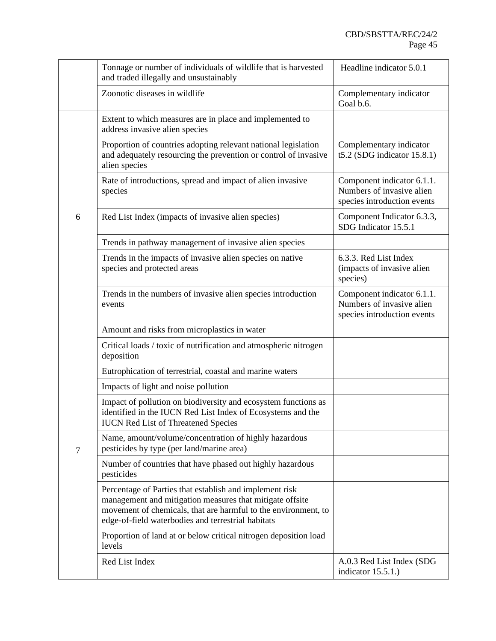|   | Tonnage or number of individuals of wildlife that is harvested<br>and traded illegally and unsustainably                                                                                                                                    | Headline indicator 5.0.1                                                               |
|---|---------------------------------------------------------------------------------------------------------------------------------------------------------------------------------------------------------------------------------------------|----------------------------------------------------------------------------------------|
|   | Zoonotic diseases in wildlife                                                                                                                                                                                                               | Complementary indicator<br>Goal b.6.                                                   |
|   | Extent to which measures are in place and implemented to<br>address invasive alien species                                                                                                                                                  |                                                                                        |
|   | Proportion of countries adopting relevant national legislation<br>and adequately resourcing the prevention or control of invasive<br>alien species                                                                                          | Complementary indicator<br>t5.2 (SDG indicator $15.8.1$ )                              |
|   | Rate of introductions, spread and impact of alien invasive<br>species                                                                                                                                                                       | Component indicator 6.1.1.<br>Numbers of invasive alien<br>species introduction events |
| 6 | Red List Index (impacts of invasive alien species)                                                                                                                                                                                          | Component Indicator 6.3.3,<br>SDG Indicator 15.5.1                                     |
|   | Trends in pathway management of invasive alien species                                                                                                                                                                                      |                                                                                        |
|   | Trends in the impacts of invasive alien species on native<br>species and protected areas                                                                                                                                                    | 6.3.3. Red List Index<br>(impacts of invasive alien<br>species)                        |
|   | Trends in the numbers of invasive alien species introduction<br>events                                                                                                                                                                      | Component indicator 6.1.1.<br>Numbers of invasive alien<br>species introduction events |
|   | Amount and risks from microplastics in water                                                                                                                                                                                                |                                                                                        |
|   | Critical loads / toxic of nutrification and atmospheric nitrogen<br>deposition                                                                                                                                                              |                                                                                        |
|   | Eutrophication of terrestrial, coastal and marine waters                                                                                                                                                                                    |                                                                                        |
|   | Impacts of light and noise pollution                                                                                                                                                                                                        |                                                                                        |
|   | Impact of pollution on biodiversity and ecosystem functions as<br>identified in the IUCN Red List Index of Ecosystems and the<br><b>IUCN Red List of Threatened Species</b>                                                                 |                                                                                        |
| 7 | Name, amount/volume/concentration of highly hazardous<br>pesticides by type (per land/marine area)                                                                                                                                          |                                                                                        |
|   | Number of countries that have phased out highly hazardous<br>pesticides                                                                                                                                                                     |                                                                                        |
|   | Percentage of Parties that establish and implement risk<br>management and mitigation measures that mitigate offsite<br>movement of chemicals, that are harmful to the environment, to<br>edge-of-field waterbodies and terrestrial habitats |                                                                                        |
|   | Proportion of land at or below critical nitrogen deposition load<br>levels                                                                                                                                                                  |                                                                                        |
|   | Red List Index                                                                                                                                                                                                                              | A.0.3 Red List Index (SDG<br>indicator $15.5.1$ .)                                     |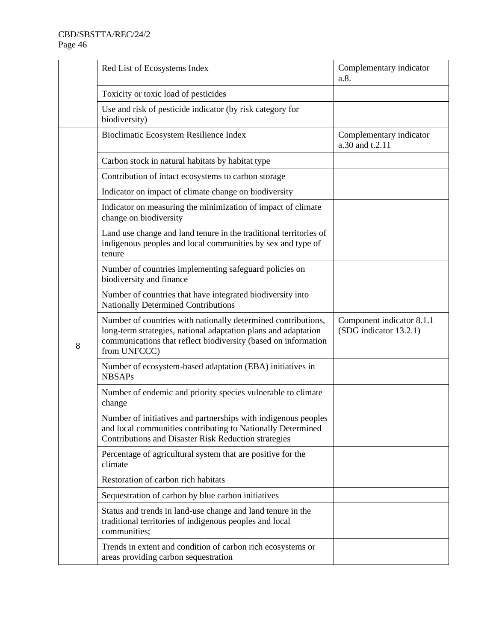|   | Red List of Ecosystems Index                                                                                                                                                                                      | Complementary indicator<br>a.8.                     |
|---|-------------------------------------------------------------------------------------------------------------------------------------------------------------------------------------------------------------------|-----------------------------------------------------|
|   | Toxicity or toxic load of pesticides                                                                                                                                                                              |                                                     |
|   | Use and risk of pesticide indicator (by risk category for<br>biodiversity)                                                                                                                                        |                                                     |
|   | Bioclimatic Ecosystem Resilience Index                                                                                                                                                                            | Complementary indicator<br>a.30 and t.2.11          |
|   | Carbon stock in natural habitats by habitat type                                                                                                                                                                  |                                                     |
|   | Contribution of intact ecosystems to carbon storage                                                                                                                                                               |                                                     |
|   | Indicator on impact of climate change on biodiversity                                                                                                                                                             |                                                     |
|   | Indicator on measuring the minimization of impact of climate<br>change on biodiversity                                                                                                                            |                                                     |
|   | Land use change and land tenure in the traditional territories of<br>indigenous peoples and local communities by sex and type of<br>tenure                                                                        |                                                     |
|   | Number of countries implementing safeguard policies on<br>biodiversity and finance                                                                                                                                |                                                     |
|   | Number of countries that have integrated biodiversity into<br>Nationally Determined Contributions                                                                                                                 |                                                     |
| 8 | Number of countries with nationally determined contributions,<br>long-term strategies, national adaptation plans and adaptation<br>communications that reflect biodiversity (based on information<br>from UNFCCC) | Component indicator 8.1.1<br>(SDG indicator 13.2.1) |
|   | Number of ecosystem-based adaptation (EBA) initiatives in<br><b>NBSAPs</b>                                                                                                                                        |                                                     |
|   | Number of endemic and priority species vulnerable to climate<br>change                                                                                                                                            |                                                     |
|   | Number of initiatives and partnerships with indigenous peoples<br>and local communities contributing to Nationally Determined<br>Contributions and Disaster Risk Reduction strategies                             |                                                     |
|   | Percentage of agricultural system that are positive for the<br>climate                                                                                                                                            |                                                     |
|   | Restoration of carbon rich habitats                                                                                                                                                                               |                                                     |
|   | Sequestration of carbon by blue carbon initiatives                                                                                                                                                                |                                                     |
|   | Status and trends in land-use change and land tenure in the<br>traditional territories of indigenous peoples and local<br>communities;                                                                            |                                                     |
|   | Trends in extent and condition of carbon rich ecosystems or<br>areas providing carbon sequestration                                                                                                               |                                                     |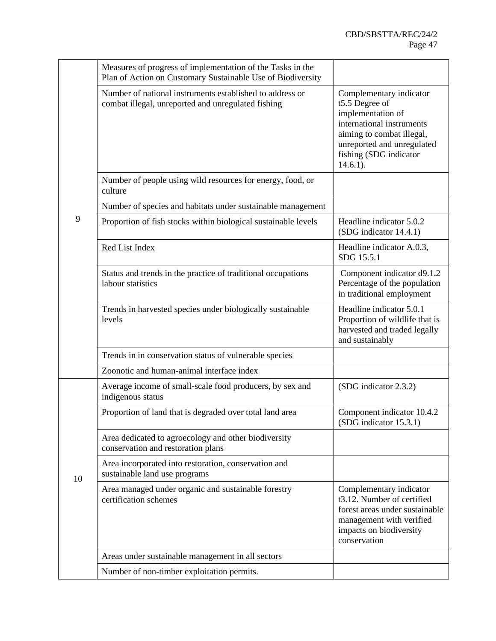|    | Measures of progress of implementation of the Tasks in the<br>Plan of Action on Customary Sustainable Use of Biodiversity |                                                                                                                                                                                                 |
|----|---------------------------------------------------------------------------------------------------------------------------|-------------------------------------------------------------------------------------------------------------------------------------------------------------------------------------------------|
|    | Number of national instruments established to address or<br>combat illegal, unreported and unregulated fishing            | Complementary indicator<br>t5.5 Degree of<br>implementation of<br>international instruments<br>aiming to combat illegal,<br>unreported and unregulated<br>fishing (SDG indicator<br>$14.6.1$ ). |
|    | Number of people using wild resources for energy, food, or<br>culture                                                     |                                                                                                                                                                                                 |
|    | Number of species and habitats under sustainable management                                                               |                                                                                                                                                                                                 |
| 9  | Proportion of fish stocks within biological sustainable levels                                                            | Headline indicator 5.0.2<br>(SDG indicator 14.4.1)                                                                                                                                              |
|    | Red List Index                                                                                                            | Headline indicator A.0.3,<br>SDG 15.5.1                                                                                                                                                         |
|    | Status and trends in the practice of traditional occupations<br>labour statistics                                         | Component indicator d9.1.2<br>Percentage of the population<br>in traditional employment                                                                                                         |
|    | Trends in harvested species under biologically sustainable<br>levels                                                      | Headline indicator 5.0.1<br>Proportion of wildlife that is<br>harvested and traded legally<br>and sustainably                                                                                   |
|    | Trends in in conservation status of vulnerable species                                                                    |                                                                                                                                                                                                 |
|    | Zoonotic and human-animal interface index                                                                                 |                                                                                                                                                                                                 |
|    | Average income of small-scale food producers, by sex and<br>indigenous status                                             | (SDG indicator 2.3.2)                                                                                                                                                                           |
|    | Proportion of land that is degraded over total land area                                                                  | Component indicator 10.4.2<br>(SDG indicator 15.3.1)                                                                                                                                            |
|    | Area dedicated to agroecology and other biodiversity<br>conservation and restoration plans                                |                                                                                                                                                                                                 |
| 10 | Area incorporated into restoration, conservation and<br>sustainable land use programs                                     |                                                                                                                                                                                                 |
|    | Area managed under organic and sustainable forestry<br>certification schemes                                              | Complementary indicator<br>t3.12. Number of certified<br>forest areas under sustainable<br>management with verified<br>impacts on biodiversity<br>conservation                                  |
|    | Areas under sustainable management in all sectors                                                                         |                                                                                                                                                                                                 |
|    | Number of non-timber exploitation permits.                                                                                |                                                                                                                                                                                                 |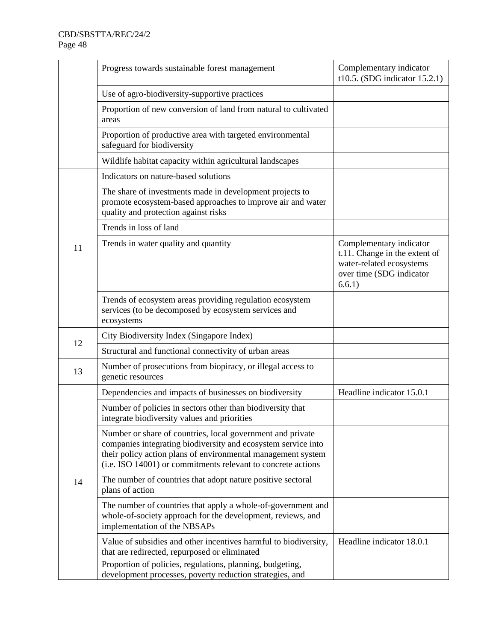|    | Progress towards sustainable forest management                                                                                                                                                                                                              | Complementary indicator<br>t10.5. (SDG indicator $15.2.1$ )                                                                |
|----|-------------------------------------------------------------------------------------------------------------------------------------------------------------------------------------------------------------------------------------------------------------|----------------------------------------------------------------------------------------------------------------------------|
|    | Use of agro-biodiversity-supportive practices                                                                                                                                                                                                               |                                                                                                                            |
|    | Proportion of new conversion of land from natural to cultivated<br>areas                                                                                                                                                                                    |                                                                                                                            |
|    | Proportion of productive area with targeted environmental<br>safeguard for biodiversity                                                                                                                                                                     |                                                                                                                            |
|    | Wildlife habitat capacity within agricultural landscapes                                                                                                                                                                                                    |                                                                                                                            |
|    | Indicators on nature-based solutions                                                                                                                                                                                                                        |                                                                                                                            |
|    | The share of investments made in development projects to<br>promote ecosystem-based approaches to improve air and water<br>quality and protection against risks                                                                                             |                                                                                                                            |
|    | Trends in loss of land                                                                                                                                                                                                                                      |                                                                                                                            |
| 11 | Trends in water quality and quantity                                                                                                                                                                                                                        | Complementary indicator<br>t.11. Change in the extent of<br>water-related ecosystems<br>over time (SDG indicator<br>6.6.1) |
|    | Trends of ecosystem areas providing regulation ecosystem<br>services (to be decomposed by ecosystem services and<br>ecosystems                                                                                                                              |                                                                                                                            |
| 12 | City Biodiversity Index (Singapore Index)                                                                                                                                                                                                                   |                                                                                                                            |
|    | Structural and functional connectivity of urban areas                                                                                                                                                                                                       |                                                                                                                            |
| 13 | Number of prosecutions from biopiracy, or illegal access to<br>genetic resources                                                                                                                                                                            |                                                                                                                            |
|    | Dependencies and impacts of businesses on biodiversity                                                                                                                                                                                                      | Headline indicator 15.0.1                                                                                                  |
|    | Number of policies in sectors other than biodiversity that<br>integrate biodiversity values and priorities                                                                                                                                                  |                                                                                                                            |
|    | Number or share of countries, local government and private<br>companies integrating biodiversity and ecosystem service into<br>their policy action plans of environmental management system<br>(i.e. ISO 14001) or commitments relevant to concrete actions |                                                                                                                            |
| 14 | The number of countries that adopt nature positive sectoral<br>plans of action                                                                                                                                                                              |                                                                                                                            |
|    | The number of countries that apply a whole-of-government and<br>whole-of-society approach for the development, reviews, and<br>implementation of the NBSAPs                                                                                                 |                                                                                                                            |
|    | Value of subsidies and other incentives harmful to biodiversity,<br>that are redirected, repurposed or eliminated                                                                                                                                           | Headline indicator 18.0.1                                                                                                  |
|    | Proportion of policies, regulations, planning, budgeting,<br>development processes, poverty reduction strategies, and                                                                                                                                       |                                                                                                                            |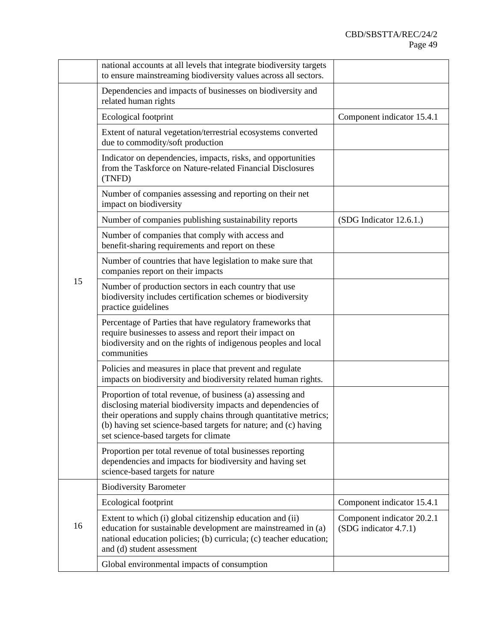|    | national accounts at all levels that integrate biodiversity targets<br>to ensure mainstreaming biodiversity values across all sectors.                                                                                                                                                                     |                                                     |
|----|------------------------------------------------------------------------------------------------------------------------------------------------------------------------------------------------------------------------------------------------------------------------------------------------------------|-----------------------------------------------------|
|    | Dependencies and impacts of businesses on biodiversity and<br>related human rights                                                                                                                                                                                                                         |                                                     |
|    | Ecological footprint                                                                                                                                                                                                                                                                                       | Component indicator 15.4.1                          |
|    | Extent of natural vegetation/terrestrial ecosystems converted<br>due to commodity/soft production                                                                                                                                                                                                          |                                                     |
|    | Indicator on dependencies, impacts, risks, and opportunities<br>from the Taskforce on Nature-related Financial Disclosures<br>(TNFD)                                                                                                                                                                       |                                                     |
|    | Number of companies assessing and reporting on their net<br>impact on biodiversity                                                                                                                                                                                                                         |                                                     |
|    | Number of companies publishing sustainability reports                                                                                                                                                                                                                                                      | (SDG Indicator 12.6.1.)                             |
|    | Number of companies that comply with access and<br>benefit-sharing requirements and report on these                                                                                                                                                                                                        |                                                     |
|    | Number of countries that have legislation to make sure that<br>companies report on their impacts                                                                                                                                                                                                           |                                                     |
| 15 | Number of production sectors in each country that use<br>biodiversity includes certification schemes or biodiversity<br>practice guidelines                                                                                                                                                                |                                                     |
|    | Percentage of Parties that have regulatory frameworks that<br>require businesses to assess and report their impact on<br>biodiversity and on the rights of indigenous peoples and local<br>communities                                                                                                     |                                                     |
|    | Policies and measures in place that prevent and regulate<br>impacts on biodiversity and biodiversity related human rights.                                                                                                                                                                                 |                                                     |
|    | Proportion of total revenue, of business (a) assessing and<br>disclosing material biodiversity impacts and dependencies of<br>their operations and supply chains through quantitative metrics;<br>(b) having set science-based targets for nature; and (c) having<br>set science-based targets for climate |                                                     |
|    | Proportion per total revenue of total businesses reporting<br>dependencies and impacts for biodiversity and having set<br>science-based targets for nature                                                                                                                                                 |                                                     |
|    | <b>Biodiversity Barometer</b>                                                                                                                                                                                                                                                                              |                                                     |
|    | Ecological footprint                                                                                                                                                                                                                                                                                       | Component indicator 15.4.1                          |
| 16 | Extent to which (i) global citizenship education and (ii)<br>education for sustainable development are mainstreamed in (a)<br>national education policies; (b) curricula; (c) teacher education;<br>and (d) student assessment                                                                             | Component indicator 20.2.1<br>(SDG indicator 4.7.1) |
|    | Global environmental impacts of consumption                                                                                                                                                                                                                                                                |                                                     |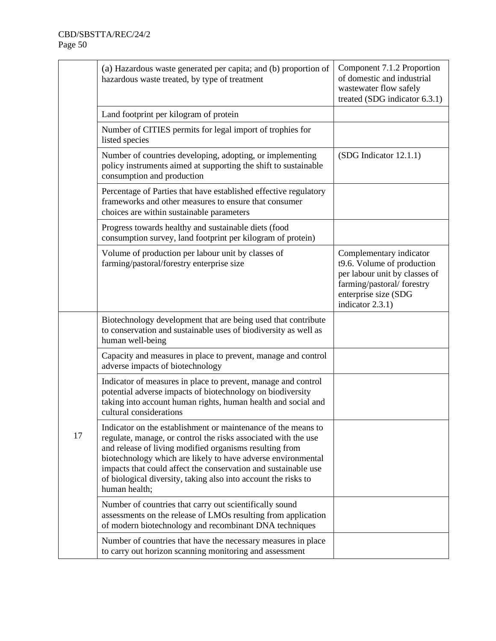|    | (a) Hazardous waste generated per capita; and (b) proportion of<br>hazardous waste treated, by type of treatment                                                                                                                                                                                                                                                                                                | Component 7.1.2 Proportion<br>of domestic and industrial<br>wastewater flow safely<br>treated (SDG indicator 6.3.1)                                              |
|----|-----------------------------------------------------------------------------------------------------------------------------------------------------------------------------------------------------------------------------------------------------------------------------------------------------------------------------------------------------------------------------------------------------------------|------------------------------------------------------------------------------------------------------------------------------------------------------------------|
|    | Land footprint per kilogram of protein                                                                                                                                                                                                                                                                                                                                                                          |                                                                                                                                                                  |
|    | Number of CITIES permits for legal import of trophies for<br>listed species                                                                                                                                                                                                                                                                                                                                     |                                                                                                                                                                  |
|    | Number of countries developing, adopting, or implementing<br>policy instruments aimed at supporting the shift to sustainable<br>consumption and production                                                                                                                                                                                                                                                      | (SDG Indicator 12.1.1)                                                                                                                                           |
|    | Percentage of Parties that have established effective regulatory<br>frameworks and other measures to ensure that consumer<br>choices are within sustainable parameters                                                                                                                                                                                                                                          |                                                                                                                                                                  |
|    | Progress towards healthy and sustainable diets (food<br>consumption survey, land footprint per kilogram of protein)                                                                                                                                                                                                                                                                                             |                                                                                                                                                                  |
|    | Volume of production per labour unit by classes of<br>farming/pastoral/forestry enterprise size                                                                                                                                                                                                                                                                                                                 | Complementary indicator<br>t9.6. Volume of production<br>per labour unit by classes of<br>farming/pastoral/ forestry<br>enterprise size (SDG<br>indicator 2.3.1) |
|    | Biotechnology development that are being used that contribute<br>to conservation and sustainable uses of biodiversity as well as<br>human well-being                                                                                                                                                                                                                                                            |                                                                                                                                                                  |
|    | Capacity and measures in place to prevent, manage and control<br>adverse impacts of biotechnology                                                                                                                                                                                                                                                                                                               |                                                                                                                                                                  |
|    | Indicator of measures in place to prevent, manage and control<br>potential adverse impacts of biotechnology on biodiversity<br>taking into account human rights, human health and social and<br>cultural considerations                                                                                                                                                                                         |                                                                                                                                                                  |
| 17 | Indicator on the establishment or maintenance of the means to<br>regulate, manage, or control the risks associated with the use<br>and release of living modified organisms resulting from<br>biotechnology which are likely to have adverse environmental<br>impacts that could affect the conservation and sustainable use<br>of biological diversity, taking also into account the risks to<br>human health; |                                                                                                                                                                  |
|    | Number of countries that carry out scientifically sound<br>assessments on the release of LMOs resulting from application<br>of modern biotechnology and recombinant DNA techniques                                                                                                                                                                                                                              |                                                                                                                                                                  |
|    | Number of countries that have the necessary measures in place<br>to carry out horizon scanning monitoring and assessment                                                                                                                                                                                                                                                                                        |                                                                                                                                                                  |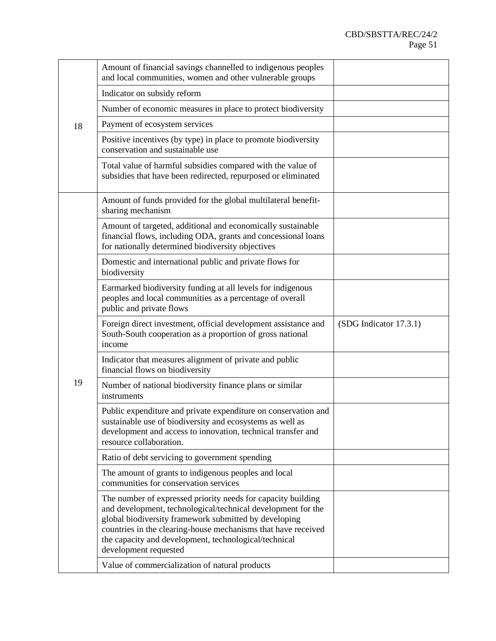|    | Amount of financial savings channelled to indigenous peoples<br>and local communities, women and other vulnerable groups                                                                                                                                                                                                                 |                        |
|----|------------------------------------------------------------------------------------------------------------------------------------------------------------------------------------------------------------------------------------------------------------------------------------------------------------------------------------------|------------------------|
|    | Indicator on subsidy reform                                                                                                                                                                                                                                                                                                              |                        |
|    | Number of economic measures in place to protect biodiversity                                                                                                                                                                                                                                                                             |                        |
| 18 | Payment of ecosystem services                                                                                                                                                                                                                                                                                                            |                        |
|    | Positive incentives (by type) in place to promote biodiversity<br>conservation and sustainable use                                                                                                                                                                                                                                       |                        |
|    | Total value of harmful subsidies compared with the value of<br>subsidies that have been redirected, repurposed or eliminated                                                                                                                                                                                                             |                        |
|    | Amount of funds provided for the global multilateral benefit-<br>sharing mechanism                                                                                                                                                                                                                                                       |                        |
|    | Amount of targeted, additional and economically sustainable<br>financial flows, including ODA, grants and concessional loans<br>for nationally determined biodiversity objectives                                                                                                                                                        |                        |
|    | Domestic and international public and private flows for<br>biodiversity                                                                                                                                                                                                                                                                  |                        |
|    | Earmarked biodiversity funding at all levels for indigenous<br>peoples and local communities as a percentage of overall<br>public and private flows                                                                                                                                                                                      |                        |
|    |                                                                                                                                                                                                                                                                                                                                          |                        |
|    | Foreign direct investment, official development assistance and<br>South-South cooperation as a proportion of gross national<br>income                                                                                                                                                                                                    | (SDG Indicator 17.3.1) |
|    | Indicator that measures alignment of private and public<br>financial flows on biodiversity                                                                                                                                                                                                                                               |                        |
| 19 | Number of national biodiversity finance plans or similar<br>instruments                                                                                                                                                                                                                                                                  |                        |
|    | Public expenditure and private expenditure on conservation and<br>sustainable use of biodiversity and ecosystems as well as<br>development and access to innovation, technical transfer and<br>resource collaboration.                                                                                                                   |                        |
|    | Ratio of debt servicing to government spending                                                                                                                                                                                                                                                                                           |                        |
|    | The amount of grants to indigenous peoples and local<br>communities for conservation services                                                                                                                                                                                                                                            |                        |
|    | The number of expressed priority needs for capacity building<br>and development, technological/technical development for the<br>global biodiversity framework submitted by developing<br>countries in the clearing-house mechanisms that have received<br>the capacity and development, technological/technical<br>development requested |                        |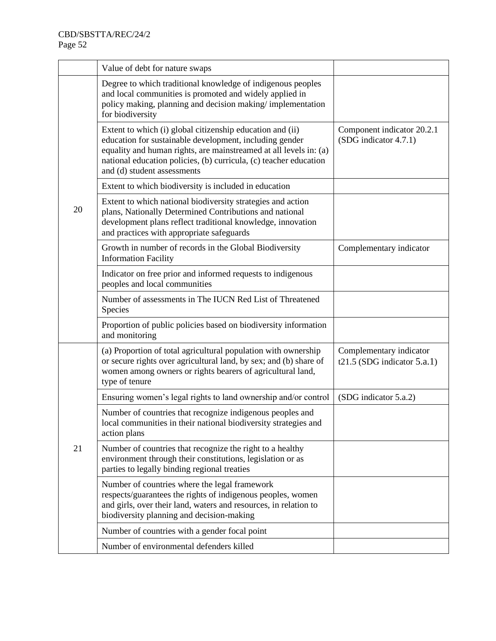|    | Value of debt for nature swaps                                                                                                                                                                                                                                                                |                                                           |
|----|-----------------------------------------------------------------------------------------------------------------------------------------------------------------------------------------------------------------------------------------------------------------------------------------------|-----------------------------------------------------------|
|    | Degree to which traditional knowledge of indigenous peoples<br>and local communities is promoted and widely applied in<br>policy making, planning and decision making/implementation<br>for biodiversity                                                                                      |                                                           |
|    | Extent to which (i) global citizenship education and (ii)<br>education for sustainable development, including gender<br>equality and human rights, are mainstreamed at all levels in: (a)<br>national education policies, (b) curricula, (c) teacher education<br>and (d) student assessments | Component indicator 20.2.1<br>(SDG indicator 4.7.1)       |
|    | Extent to which biodiversity is included in education                                                                                                                                                                                                                                         |                                                           |
| 20 | Extent to which national biodiversity strategies and action<br>plans, Nationally Determined Contributions and national<br>development plans reflect traditional knowledge, innovation<br>and practices with appropriate safeguards                                                            |                                                           |
|    | Growth in number of records in the Global Biodiversity<br><b>Information Facility</b>                                                                                                                                                                                                         | Complementary indicator                                   |
|    | Indicator on free prior and informed requests to indigenous<br>peoples and local communities                                                                                                                                                                                                  |                                                           |
|    | Number of assessments in The IUCN Red List of Threatened<br>Species                                                                                                                                                                                                                           |                                                           |
|    | Proportion of public policies based on biodiversity information<br>and monitoring                                                                                                                                                                                                             |                                                           |
|    | (a) Proportion of total agricultural population with ownership<br>or secure rights over agricultural land, by sex; and (b) share of<br>women among owners or rights bearers of agricultural land,<br>type of tenure                                                                           | Complementary indicator<br>t21.5 (SDG indicator $5.a.1$ ) |
|    | Ensuring women's legal rights to land ownership and/or control                                                                                                                                                                                                                                | (SDG indicator 5.a.2)                                     |
|    | Number of countries that recognize indigenous peoples and<br>local communities in their national biodiversity strategies and<br>action plans                                                                                                                                                  |                                                           |
| 21 | Number of countries that recognize the right to a healthy<br>environment through their constitutions, legislation or as<br>parties to legally binding regional treaties                                                                                                                       |                                                           |
|    | Number of countries where the legal framework<br>respects/guarantees the rights of indigenous peoples, women<br>and girls, over their land, waters and resources, in relation to<br>biodiversity planning and decision-making                                                                 |                                                           |
|    | Number of countries with a gender focal point                                                                                                                                                                                                                                                 |                                                           |
|    | Number of environmental defenders killed                                                                                                                                                                                                                                                      |                                                           |